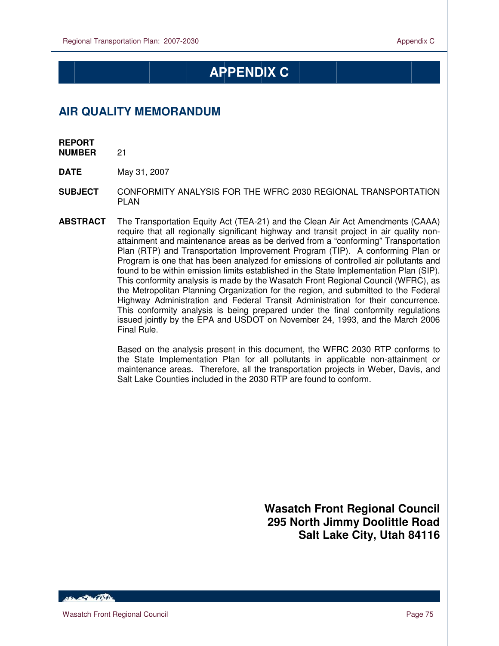# **APPENDIX C**

# **AIR QUALITY MEMORANDUM**

**REPORT** 

 $\overline{a}$ 

**NUMBER** 21

**DATE** May 31, 2007

- **SUBJECT** CONFORMITY ANALYSIS FOR THE WFRC 2030 REGIONAL TRANSPORTATION PLAN
- **ABSTRACT** The Transportation Equity Act (TEA-21) and the Clean Air Act Amendments (CAAA) require that all regionally significant highway and transit project in air quality nonattainment and maintenance areas as be derived from a "conforming" Transportation Plan (RTP) and Transportation Improvement Program (TIP). A conforming Plan or Program is one that has been analyzed for emissions of controlled air pollutants and found to be within emission limits established in the State Implementation Plan (SIP). This conformity analysis is made by the Wasatch Front Regional Council (WFRC), as the Metropolitan Planning Organization for the region, and submitted to the Federal Highway Administration and Federal Transit Administration for their concurrence. This conformity analysis is being prepared under the final conformity regulations issued jointly by the EPA and USDOT on November 24, 1993, and the March 2006 Final Rule.

Based on the analysis present in this document, the WFRC 2030 RTP conforms to the State Implementation Plan for all pollutants in applicable non-attainment or maintenance areas. Therefore, all the transportation projects in Weber, Davis, and Salt Lake Counties included in the 2030 RTP are found to conform.

> **Wasatch Front Regional Council 295 North Jimmy Doolittle Road Salt Lake City, Utah 84116**

HEL POLITIC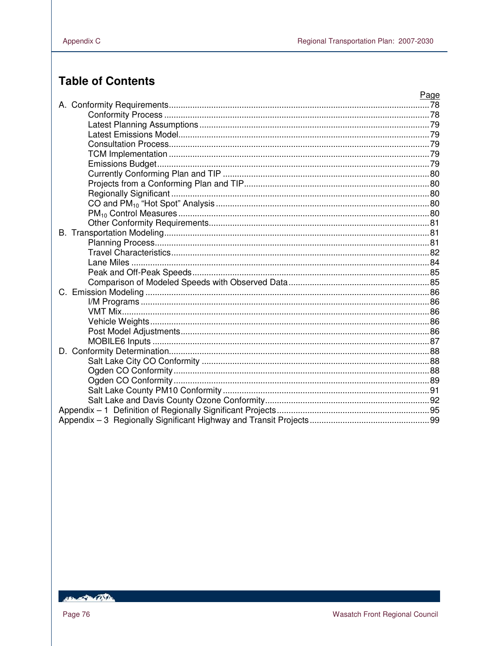# **Table of Contents**

|         | Page |
|---------|------|
|         |      |
|         |      |
|         |      |
|         |      |
|         |      |
|         |      |
|         |      |
|         |      |
|         |      |
|         |      |
|         |      |
|         |      |
|         |      |
|         |      |
|         |      |
|         |      |
|         |      |
|         |      |
|         |      |
| $C_{1}$ |      |
|         |      |
|         |      |
|         |      |
|         |      |
|         |      |
|         |      |
|         |      |
|         |      |
|         |      |
|         |      |
|         |      |
|         |      |
|         |      |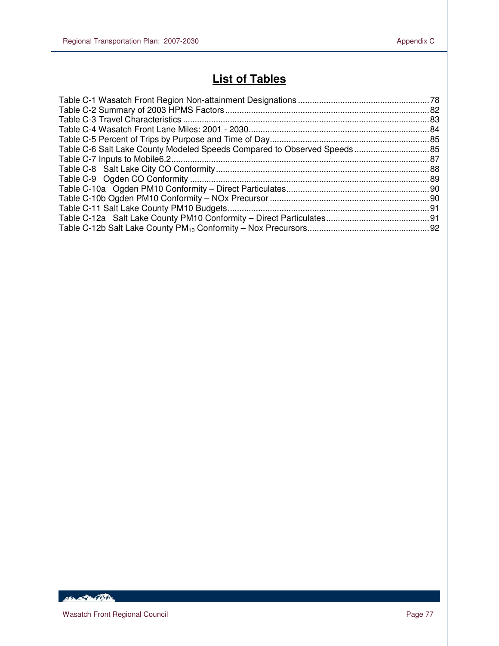# **List of Tables**

| Table C-6 Salt Lake County Modeled Speeds Compared to Observed Speeds 85 |  |
|--------------------------------------------------------------------------|--|
|                                                                          |  |
|                                                                          |  |
|                                                                          |  |
|                                                                          |  |
|                                                                          |  |
|                                                                          |  |
|                                                                          |  |
|                                                                          |  |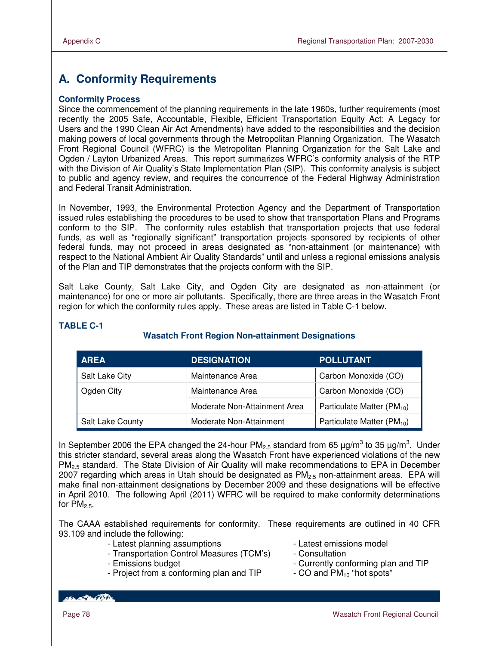# **A. Conformity Requirements**

#### **Conformity Process**

Since the commencement of the planning requirements in the late 1960s, further requirements (most recently the 2005 Safe, Accountable, Flexible, Efficient Transportation Equity Act: A Legacy for Users and the 1990 Clean Air Act Amendments) have added to the responsibilities and the decision making powers of local governments through the Metropolitan Planning Organization. The Wasatch Front Regional Council (WFRC) is the Metropolitan Planning Organization for the Salt Lake and Ogden / Layton Urbanized Areas. This report summarizes WFRC's conformity analysis of the RTP with the Division of Air Quality's State Implementation Plan (SIP). This conformity analysis is subject to public and agency review, and requires the concurrence of the Federal Highway Administration and Federal Transit Administration.

In November, 1993, the Environmental Protection Agency and the Department of Transportation issued rules establishing the procedures to be used to show that transportation Plans and Programs conform to the SIP. The conformity rules establish that transportation projects that use federal funds, as well as "regionally significant" transportation projects sponsored by recipients of other federal funds, may not proceed in areas designated as "non-attainment (or maintenance) with respect to the National Ambient Air Quality Standards" until and unless a regional emissions analysis of the Plan and TIP demonstrates that the projects conform with the SIP.

Salt Lake County, Salt Lake City, and Ogden City are designated as non-attainment (or maintenance) for one or more air pollutants. Specifically, there are three areas in the Wasatch Front region for which the conformity rules apply. These areas are listed in Table C-1 below.

| <b>AREA</b>      | <b>DESIGNATION</b>           | <b>POLLUTANT</b>               |
|------------------|------------------------------|--------------------------------|
| Salt Lake City   | Maintenance Area             | Carbon Monoxide (CO)           |
| Ogden City       | Maintenance Area             | Carbon Monoxide (CO)           |
|                  | Moderate Non-Attainment Area | Particulate Matter $(PM_{10})$ |
| Salt Lake County | Moderate Non-Attainment      | Particulate Matter $(PM_{10})$ |

# **TABLE C-1**

# **Wasatch Front Region Non-attainment Designations**

In September 2006 the EPA changed the 24-hour PM<sub>2.5</sub> standard from 65  $\mu$ g/m<sup>3</sup> to 35  $\mu$ g/m<sup>3</sup>. Under this stricter standard, several areas along the Wasatch Front have experienced violations of the new PM<sub>2.5</sub> standard. The State Division of Air Quality will make recommendations to EPA in December 2007 regarding which areas in Utah should be designated as  $PM_{2.5}$  non-attainment areas. EPA will make final non-attainment designations by December 2009 and these designations will be effective in April 2010. The following April (2011) WFRC will be required to make conformity determinations for  $PM<sub>2.5</sub>$ .

The CAAA established requirements for conformity. These requirements are outlined in 40 CFR 93.109 and include the following:

- Latest planning assumptions Latest emissions model
- Transportation Control Measures (TCM's) Consultation
- 
- Project from a conforming plan and TIP  $\qquad \qquad$  CO and PM<sub>10</sub> "hot spots"
- 
- 
- Emissions budget  $\sim$  Currently conforming plan and TIP
	-

*ABLACTER CONTENT*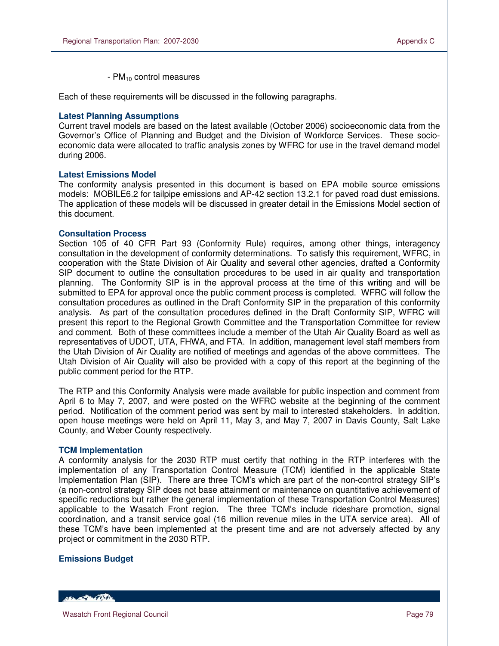-  $PM_{10}$  control measures

Each of these requirements will be discussed in the following paragraphs.

#### **Latest Planning Assumptions**

 $\overline{a}$ 

Current travel models are based on the latest available (October 2006) socioeconomic data from the Governor's Office of Planning and Budget and the Division of Workforce Services. These socioeconomic data were allocated to traffic analysis zones by WFRC for use in the travel demand model during 2006.

#### **Latest Emissions Model**

The conformity analysis presented in this document is based on EPA mobile source emissions models: MOBILE6.2 for tailpipe emissions and AP-42 section 13.2.1 for paved road dust emissions. The application of these models will be discussed in greater detail in the Emissions Model section of this document.

#### **Consultation Process**

Section 105 of 40 CFR Part 93 (Conformity Rule) requires, among other things, interagency consultation in the development of conformity determinations. To satisfy this requirement, WFRC, in cooperation with the State Division of Air Quality and several other agencies, drafted a Conformity SIP document to outline the consultation procedures to be used in air quality and transportation planning. The Conformity SIP is in the approval process at the time of this writing and will be submitted to EPA for approval once the public comment process is completed. WFRC will follow the consultation procedures as outlined in the Draft Conformity SIP in the preparation of this conformity analysis. As part of the consultation procedures defined in the Draft Conformity SIP, WFRC will present this report to the Regional Growth Committee and the Transportation Committee for review and comment. Both of these committees include a member of the Utah Air Quality Board as well as representatives of UDOT, UTA, FHWA, and FTA. In addition, management level staff members from the Utah Division of Air Quality are notified of meetings and agendas of the above committees. The Utah Division of Air Quality will also be provided with a copy of this report at the beginning of the public comment period for the RTP.

The RTP and this Conformity Analysis were made available for public inspection and comment from April 6 to May 7, 2007, and were posted on the WFRC website at the beginning of the comment period. Notification of the comment period was sent by mail to interested stakeholders. In addition, open house meetings were held on April 11, May 3, and May 7, 2007 in Davis County, Salt Lake County, and Weber County respectively.

#### **TCM Implementation**

A conformity analysis for the 2030 RTP must certify that nothing in the RTP interferes with the implementation of any Transportation Control Measure (TCM) identified in the applicable State Implementation Plan (SIP). There are three TCM's which are part of the non-control strategy SIP's (a non-control strategy SIP does not base attainment or maintenance on quantitative achievement of specific reductions but rather the general implementation of these Transportation Control Measures) applicable to the Wasatch Front region. The three TCM's include rideshare promotion, signal coordination, and a transit service goal (16 million revenue miles in the UTA service area). All of these TCM's have been implemented at the present time and are not adversely affected by any project or commitment in the 2030 RTP.

#### **Emissions Budget**

**ARANGER COSTA**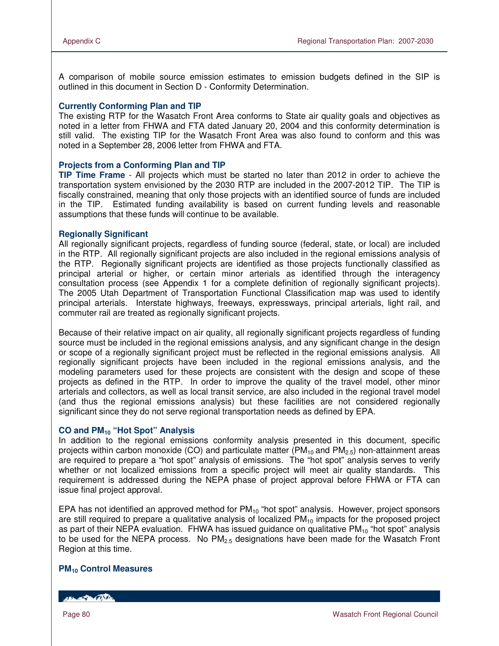A comparison of mobile source emission estimates to emission budgets defined in the SIP is outlined in this document in Section D - Conformity Determination.

#### **Currently Conforming Plan and TIP**

The existing RTP for the Wasatch Front Area conforms to State air quality goals and objectives as noted in a letter from FHWA and FTA dated January 20, 2004 and this conformity determination is still valid. The existing TIP for the Wasatch Front Area was also found to conform and this was noted in a September 28, 2006 letter from FHWA and FTA.

#### **Projects from a Conforming Plan and TIP**

**TIP Time Frame** - All projects which must be started no later than 2012 in order to achieve the transportation system envisioned by the 2030 RTP are included in the 2007-2012 TIP. The TIP is fiscally constrained, meaning that only those projects with an identified source of funds are included in the TIP. Estimated funding availability is based on current funding levels and reasonable assumptions that these funds will continue to be available.

#### **Regionally Significant**

All regionally significant projects, regardless of funding source (federal, state, or local) are included in the RTP. All regionally significant projects are also included in the regional emissions analysis of the RTP. Regionally significant projects are identified as those projects functionally classified as principal arterial or higher, or certain minor arterials as identified through the interagency consultation process (see Appendix 1 for a complete definition of regionally significant projects). The 2005 Utah Department of Transportation Functional Classification map was used to identify principal arterials. Interstate highways, freeways, expressways, principal arterials, light rail, and commuter rail are treated as regionally significant projects.

Because of their relative impact on air quality, all regionally significant projects regardless of funding source must be included in the regional emissions analysis, and any significant change in the design or scope of a regionally significant project must be reflected in the regional emissions analysis. All regionally significant projects have been included in the regional emissions analysis, and the modeling parameters used for these projects are consistent with the design and scope of these projects as defined in the RTP. In order to improve the quality of the travel model, other minor arterials and collectors, as well as local transit service, are also included in the regional travel model (and thus the regional emissions analysis) but these facilities are not considered regionally significant since they do not serve regional transportation needs as defined by EPA.

#### **CO and PM10 "Hot Spot" Analysis**

In addition to the regional emissions conformity analysis presented in this document, specific projects within carbon monoxide (CO) and particulate matter ( $PM<sub>10</sub>$  and  $PM<sub>2.5</sub>$ ) non-attainment areas are required to prepare a "hot spot" analysis of emissions. The "hot spot" analysis serves to verify whether or not localized emissions from a specific project will meet air quality standards. This requirement is addressed during the NEPA phase of project approval before FHWA or FTA can issue final project approval.

EPA has not identified an approved method for  $PM_{10}$  "hot spot" analysis. However, project sponsors are still required to prepare a qualitative analysis of localized  $PM_{10}$  impacts for the proposed project as part of their NEPA evaluation. FHWA has issued guidance on qualitative  $PM_{10}$  "hot spot" analysis to be used for the NEPA process. No  $PM<sub>2.5</sub>$  designations have been made for the Wasatch Front Region at this time.

#### **PM10 Control Measures**

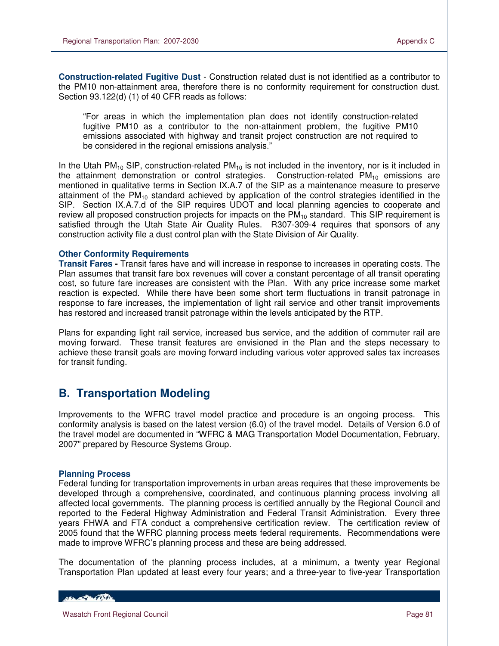**Construction-related Fugitive Dust** - Construction related dust is not identified as a contributor to the PM10 non-attainment area, therefore there is no conformity requirement for construction dust. Section 93.122(d) (1) of 40 CFR reads as follows:

"For areas in which the implementation plan does not identify construction-related fugitive PM10 as a contributor to the non-attainment problem, the fugitive PM10 emissions associated with highway and transit project construction are not required to be considered in the regional emissions analysis."

In the Utah PM<sub>10</sub> SIP, construction-related PM<sub>10</sub> is not included in the inventory, nor is it included in the attainment demonstration or control strategies. Construction-related  $PM_{10}$  emissions are mentioned in qualitative terms in Section IX.A.7 of the SIP as a maintenance measure to preserve attainment of the  $PM_{10}$  standard achieved by application of the control strategies identified in the SIP. Section IX.A.7.d of the SIP requires UDOT and local planning agencies to cooperate and review all proposed construction projects for impacts on the  $PM_{10}$  standard. This SIP requirement is satisfied through the Utah State Air Quality Rules. R307-309-4 requires that sponsors of any construction activity file a dust control plan with the State Division of Air Quality.

#### **Other Conformity Requirements**

**Transit Fares -** Transit fares have and will increase in response to increases in operating costs. The Plan assumes that transit fare box revenues will cover a constant percentage of all transit operating cost, so future fare increases are consistent with the Plan. With any price increase some market reaction is expected. While there have been some short term fluctuations in transit patronage in response to fare increases, the implementation of light rail service and other transit improvements has restored and increased transit patronage within the levels anticipated by the RTP.

Plans for expanding light rail service, increased bus service, and the addition of commuter rail are moving forward. These transit features are envisioned in the Plan and the steps necessary to achieve these transit goals are moving forward including various voter approved sales tax increases for transit funding.

# **B. Transportation Modeling**

Improvements to the WFRC travel model practice and procedure is an ongoing process. This conformity analysis is based on the latest version (6.0) of the travel model. Details of Version 6.0 of the travel model are documented in "WFRC & MAG Transportation Model Documentation, February, 2007" prepared by Resource Systems Group.

#### **Planning Process**

Federal funding for transportation improvements in urban areas requires that these improvements be developed through a comprehensive, coordinated, and continuous planning process involving all affected local governments. The planning process is certified annually by the Regional Council and reported to the Federal Highway Administration and Federal Transit Administration. Every three years FHWA and FTA conduct a comprehensive certification review. The certification review of 2005 found that the WFRC planning process meets federal requirements. Recommendations were made to improve WFRC's planning process and these are being addressed.

The documentation of the planning process includes, at a minimum, a twenty year Regional Transportation Plan updated at least every four years; and a three-year to five-year Transportation

HELL POLICE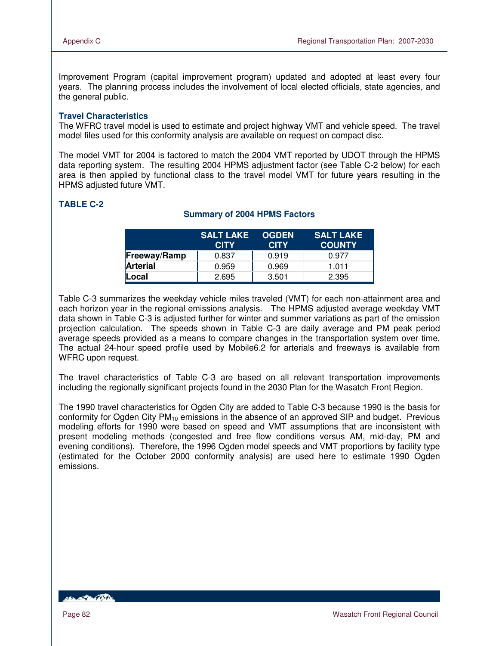Improvement Program (capital improvement program) updated and adopted at least every four years. The planning process includes the involvement of local elected officials, state agencies, and the general public.

#### **Travel Characteristics**

The WFRC travel model is used to estimate and project highway VMT and vehicle speed. The travel model files used for this conformity analysis are available on request on compact disc.

The model VMT for 2004 is factored to match the 2004 VMT reported by UDOT through the HPMS data reporting system. The resulting 2004 HPMS adjustment factor (see Table C-2 below) for each area is then applied by functional class to the travel model VMT for future years resulting in the HPMS adjusted future VMT.

# **TABLE C-2**

#### **Summary of 2004 HPMS Factors**

|                     | <b>SALT LAKE</b><br><b>CITY</b> | <b>OGDEN</b><br><b>CITY</b> | <b>SALT LAKE</b><br><b>COUNTY</b> |
|---------------------|---------------------------------|-----------------------------|-----------------------------------|
| <b>Freeway/Ramp</b> | 0.837                           | 0.919                       | 0.977                             |
| <b>Arterial</b>     | 0.959                           | 0.969                       | 1.011                             |
| ILocal              | 2.695                           | 3.501                       | 2.395                             |

Table C-3 summarizes the weekday vehicle miles traveled (VMT) for each non-attainment area and each horizon year in the regional emissions analysis. The HPMS adjusted average weekday VMT data shown in Table C-3 is adjusted further for winter and summer variations as part of the emission projection calculation. The speeds shown in Table C-3 are daily average and PM peak period average speeds provided as a means to compare changes in the transportation system over time. The actual 24-hour speed profile used by Mobile6.2 for arterials and freeways is available from WFRC upon request.

The travel characteristics of Table C-3 are based on all relevant transportation improvements including the regionally significant projects found in the 2030 Plan for the Wasatch Front Region.

The 1990 travel characteristics for Ogden City are added to Table C-3 because 1990 is the basis for conformity for Ogden City  $PM_{10}$  emissions in the absence of an approved SIP and budget. Previous modeling efforts for 1990 were based on speed and VMT assumptions that are inconsistent with present modeling methods (congested and free flow conditions versus AM, mid-day, PM and evening conditions). Therefore, the 1996 Ogden model speeds and VMT proportions by facility type (estimated for the October 2000 conformity analysis) are used here to estimate 1990 Ogden emissions.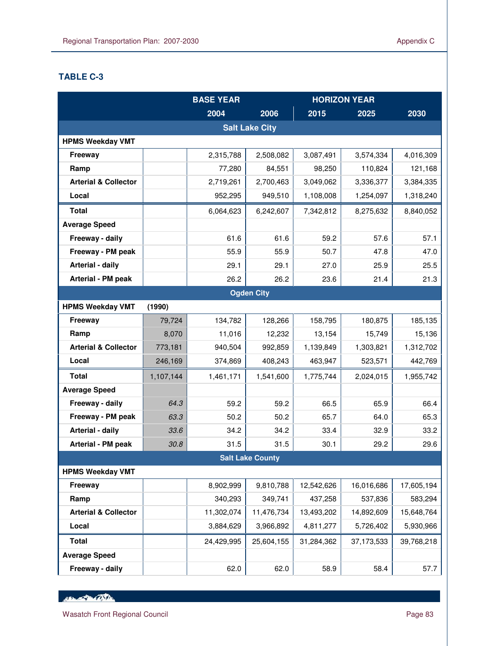# **TABLE C-3**

 $\overline{a}$ 

|                                 |           | <b>BASE YEAR</b> |                         |            | <b>HORIZON YEAR</b> |            |
|---------------------------------|-----------|------------------|-------------------------|------------|---------------------|------------|
|                                 |           | 2004             | 2006                    | 2015       | 2025                | 2030       |
|                                 |           |                  | <b>Salt Lake City</b>   |            |                     |            |
| <b>HPMS Weekday VMT</b>         |           |                  |                         |            |                     |            |
| Freeway                         |           | 2,315,788        | 2,508,082               | 3,087,491  | 3,574,334           | 4,016,309  |
| Ramp                            |           | 77,280           | 84,551                  | 98,250     | 110,824             | 121,168    |
| <b>Arterial &amp; Collector</b> |           | 2,719,261        | 2,700,463               | 3,049,062  | 3,336,377           | 3,384,335  |
| Local                           |           | 952,295          | 949,510                 | 1,108,008  | 1,254,097           | 1,318,240  |
| <b>Total</b>                    |           | 6,064,623        | 6,242,607               | 7,342,812  | 8,275,632           | 8,840,052  |
| <b>Average Speed</b>            |           |                  |                         |            |                     |            |
| Freeway - daily                 |           | 61.6             | 61.6                    | 59.2       | 57.6                | 57.1       |
| Freeway - PM peak               |           | 55.9             | 55.9                    | 50.7       | 47.8                | 47.0       |
| Arterial - daily                |           | 29.1             | 29.1                    | 27.0       | 25.9                | 25.5       |
| Arterial - PM peak              |           | 26.2             | 26.2                    | 23.6       | 21.4                | 21.3       |
|                                 |           |                  | <b>Ogden City</b>       |            |                     |            |
| <b>HPMS Weekday VMT</b>         | (1990)    |                  |                         |            |                     |            |
| Freeway                         | 79,724    | 134,782          | 128,266                 | 158,795    | 180,875             | 185,135    |
| Ramp                            | 8,070     | 11,016           | 12,232                  | 13,154     | 15,749              | 15,136     |
| <b>Arterial &amp; Collector</b> | 773,181   | 940,504          | 992,859                 | 1,139,849  | 1,303,821           | 1,312,702  |
| Local                           | 246,169   | 374,869          | 408,243                 | 463,947    | 523,571             | 442,769    |
| <b>Total</b>                    | 1,107,144 | 1,461,171        | 1,541,600               | 1,775,744  | 2,024,015           | 1,955,742  |
| <b>Average Speed</b>            |           |                  |                         |            |                     |            |
| Freeway - daily                 | 64.3      | 59.2             | 59.2                    | 66.5       | 65.9                | 66.4       |
| Freeway - PM peak               | 63.3      | 50.2             | 50.2                    | 65.7       | 64.0                | 65.3       |
| Arterial - daily                | 33.6      | 34.2             | 34.2                    | 33.4       | 32.9                | 33.2       |
| Arterial - PM peak              | 30.8      | 31.5             | 31.5                    | 30.1       | 29.2                | 29.6       |
|                                 |           |                  | <b>Salt Lake County</b> |            |                     |            |
| <b>HPMS Weekday VMT</b>         |           |                  |                         |            |                     |            |
| Freeway                         |           | 8,902,999        | 9,810,788               | 12,542,626 | 16,016,686          | 17,605,194 |
| Ramp                            |           | 340,293          | 349,741                 | 437,258    | 537,836             | 583,294    |
| <b>Arterial &amp; Collector</b> |           | 11,302,074       | 11,476,734              | 13,493,202 | 14,892,609          | 15,648,764 |
| Local                           |           | 3,884,629        | 3,966,892               | 4,811,277  | 5,726,402           | 5,930,966  |
| <b>Total</b>                    |           | 24,429,995       | 25,604,155              | 31,284,362 | 37,173,533          | 39,768,218 |
| <b>Average Speed</b>            |           |                  |                         |            |                     |            |
| Freeway - daily                 |           | 62.0             | 62.0                    | 58.9       | 58.4                | 57.7       |

HEL AND CONTRACTOR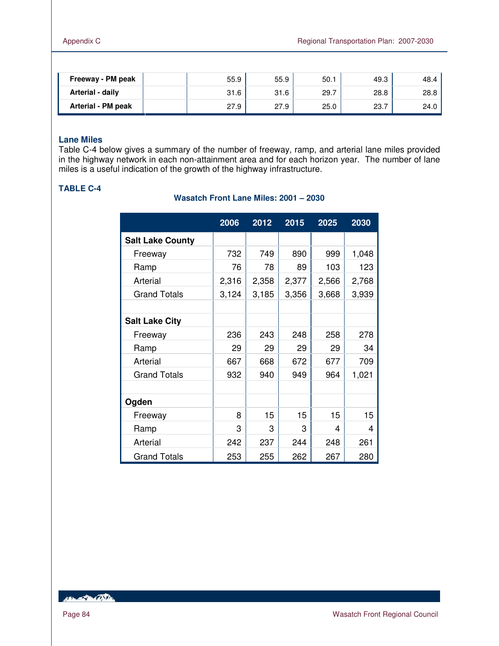| Freeway - PM peak  | 55.9 | 55.9 | 50.1 | 49.3 | 48.4 |
|--------------------|------|------|------|------|------|
| Arterial - daily   | 31.6 | 31.6 | 29.7 | 28.8 | 28.8 |
| Arterial - PM peak | 27.9 | 27.9 | 25.0 | 23.7 | 24.0 |

# **Lane Miles**

Table C-4 below gives a summary of the number of freeway, ramp, and arterial lane miles provided in the highway network in each non-attainment area and for each horizon year. The number of lane miles is a useful indication of the growth of the highway infrastructure.

### **Wasatch Front Lane Miles: 2001 – 2030**

|                         | 2006  | 2012  | 2015  | 2025  | 2030  |
|-------------------------|-------|-------|-------|-------|-------|
| <b>Salt Lake County</b> |       |       |       |       |       |
| Freeway                 | 732   | 749   | 890   | 999   | 1,048 |
| Ramp                    | 76    | 78    | 89    | 103   | 123   |
| Arterial                | 2,316 | 2,358 | 2,377 | 2,566 | 2,768 |
| <b>Grand Totals</b>     | 3,124 | 3,185 | 3,356 | 3,668 | 3,939 |
|                         |       |       |       |       |       |
| <b>Salt Lake City</b>   |       |       |       |       |       |
| Freeway                 | 236   | 243   | 248   | 258   | 278   |
| Ramp                    | 29    | 29    | 29    | 29    | 34    |
| Arterial                | 667   | 668   | 672   | 677   | 709   |
| <b>Grand Totals</b>     | 932   | 940   | 949   | 964   | 1,021 |
|                         |       |       |       |       |       |
| Ogden                   |       |       |       |       |       |
| Freeway                 | 8     | 15    | 15    | 15    | 15    |
| Ramp                    | 3     | 3     | 3     | 4     | 4     |
| Arterial                | 242   | 237   | 244   | 248   | 261   |
| <b>Grand Totals</b>     | 253   | 255   | 262   | 267   | 280   |

HELLED COST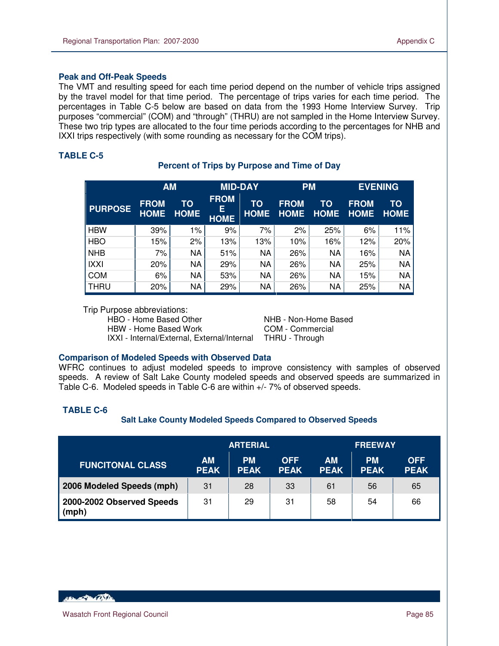#### **Peak and Off-Peak Speeds**

The VMT and resulting speed for each time period depend on the number of vehicle trips assigned by the travel model for that time period. The percentage of trips varies for each time period. The percentages in Table C-5 below are based on data from the 1993 Home Interview Survey. Trip purposes "commercial" (COM) and "through" (THRU) are not sampled in the Home Interview Survey. These two trip types are allocated to the four time periods according to the percentages for NHB and IXXI trips respectively (with some rounding as necessary for the COM trips).

### **TABLE C-5**

 $\overline{a}$ 

|                | <b>AM</b>                  |                   | <b>MID-DAY</b>                  |                   | <b>PM</b>                  |                   | <b>EVENING</b>             |                   |
|----------------|----------------------------|-------------------|---------------------------------|-------------------|----------------------------|-------------------|----------------------------|-------------------|
| <b>PURPOSE</b> | <b>FROM</b><br><b>HOME</b> | TO<br><b>HOME</b> | <b>FROM</b><br>Е<br><b>HOME</b> | TO<br><b>HOME</b> | <b>FROM</b><br><b>HOME</b> | ТО<br><b>HOME</b> | <b>FROM</b><br><b>HOME</b> | TO<br><b>HOME</b> |
| <b>HBW</b>     | 39%                        | 1%                | 9%                              | 7%                | 2%                         | 25%               | 6%                         | 11%               |
| <b>HBO</b>     | 15%                        | 2%                | 13%                             | 13%               | 10%                        | 16%               | 12%                        | 20%               |
| <b>NHB</b>     | 7%                         | NA                | 51%                             | ΝA                | 26%                        | NA                | 16%                        | <b>NA</b>         |
| IXXI           | 20%                        | <b>NA</b>         | 29%                             | ΝA                | 26%                        | <b>NA</b>         | 25%                        | <b>NA</b>         |
| <b>COM</b>     | 6%                         | <b>NA</b>         | 53%                             | ΝA                | 26%                        | NA                | 15%                        | <b>NA</b>         |
| <b>THRU</b>    | 20%                        | NA                | 29%                             | ΝA                | 26%                        | NA                | 25%                        | <b>NA</b>         |

# **Percent of Trips by Purpose and Time of Day**

Trip Purpose abbreviations:

HBO - Home Based Other NHB - Non-Home Based

HBW - Home Based Work COM - Commercial IXXI - Internal/External, External/Internal THRU - Through

#### **Comparison of Modeled Speeds with Observed Data**

WFRC continues to adjust modeled speeds to improve consistency with samples of observed speeds. A review of Salt Lake County modeled speeds and observed speeds are summarized in Table C-6. Modeled speeds in Table C-6 are within +/- 7% of observed speeds.

### **TABLE C-6**

#### **Salt Lake County Modeled Speeds Compared to Observed Speeds**

|                                    |                          | <b>ARTERIAL</b>          |                           |                          | <b>FREEWAY</b>           |                           |
|------------------------------------|--------------------------|--------------------------|---------------------------|--------------------------|--------------------------|---------------------------|
| <b>FUNCITONAL CLASS</b>            | <b>AM</b><br><b>PEAK</b> | <b>PM</b><br><b>PEAK</b> | <b>OFF</b><br><b>PEAK</b> | <b>AM</b><br><b>PEAK</b> | <b>PM</b><br><b>PEAK</b> | <b>OFF</b><br><b>PEAK</b> |
| 2006 Modeled Speeds (mph)          | 31                       | 28                       | 33                        | 61                       | 56                       | 65                        |
| 2000-2002 Observed Speeds<br>(mph) | 31                       | 29                       | 31                        | 58                       | 54                       | 66                        |

**ABON AND ARTIST**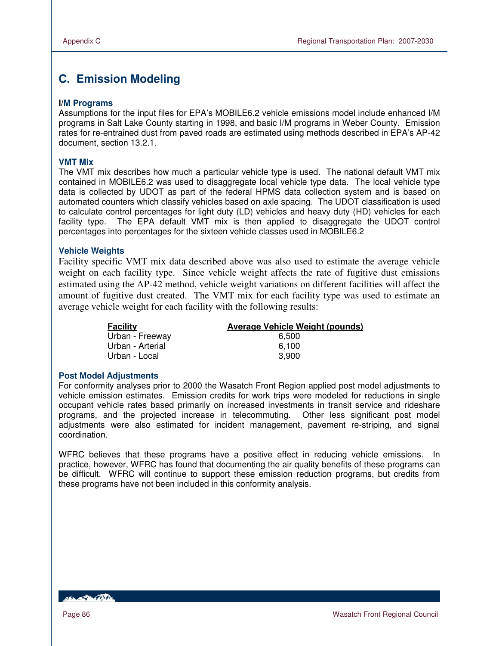# **C. Emission Modeling**

#### **I/M Programs**

Assumptions for the input files for EPA's MOBILE6.2 vehicle emissions model include enhanced I/M programs in Salt Lake County starting in 1998, and basic I/M programs in Weber County. Emission rates for re-entrained dust from paved roads are estimated using methods described in EPA's AP-42 document, section 13.2.1.

#### **VMT Mix**

The VMT mix describes how much a particular vehicle type is used. The national default VMT mix contained in MOBILE6.2 was used to disaggregate local vehicle type data. The local vehicle type data is collected by UDOT as part of the federal HPMS data collection system and is based on automated counters which classify vehicles based on axle spacing. The UDOT classification is used to calculate control percentages for light duty (LD) vehicles and heavy duty (HD) vehicles for each facility type. The EPA default VMT mix is then applied to disaggregate the UDOT control percentages into percentages for the sixteen vehicle classes used in MOBILE6.2

#### **Vehicle Weights**

Facility specific VMT mix data described above was also used to estimate the average vehicle weight on each facility type. Since vehicle weight affects the rate of fugitive dust emissions estimated using the AP-42 method, vehicle weight variations on different facilities will affect the amount of fugitive dust created. The VMT mix for each facility type was used to estimate an average vehicle weight for each facility with the following results:

| <b>Facility</b>  | <b>Average Vehicle Weight (pounds)</b> |
|------------------|----------------------------------------|
| Urban - Freeway  | 6.500                                  |
| Urban - Arterial | 6.100                                  |
| Urban - Local    | 3.900                                  |

#### **Post Model Adjustments**

For conformity analyses prior to 2000 the Wasatch Front Region applied post model adjustments to vehicle emission estimates. Emission credits for work trips were modeled for reductions in single occupant vehicle rates based primarily on increased investments in transit service and rideshare programs, and the projected increase in telecommuting. Other less significant post model adjustments were also estimated for incident management, pavement re-striping, and signal coordination.

WFRC believes that these programs have a positive effect in reducing vehicle emissions. In practice, however, WFRC has found that documenting the air quality benefits of these programs can be difficult. WFRC will continue to support these emission reduction programs, but credits from these programs have not been included in this conformity analysis.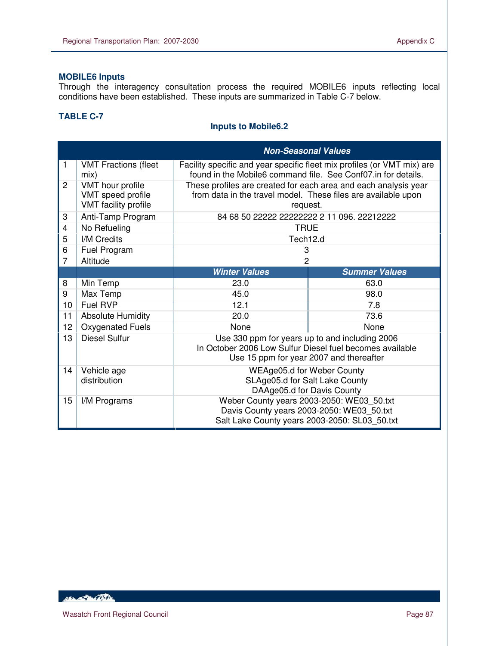# **MOBILE6 Inputs**

Through the interagency consultation process the required MOBILE6 inputs reflecting local conditions have been established. These inputs are summarized in Table C-7 below.

# **TABLE C-7**

 $\overline{a}$ 

# **Inputs to Mobile6.2**

|                |                                                               | <b>Non-Seasonal Values</b>                                                                                                                            |                      |  |  |
|----------------|---------------------------------------------------------------|-------------------------------------------------------------------------------------------------------------------------------------------------------|----------------------|--|--|
| 1              | <b>VMT Fractions (fleet</b><br>mix)                           | Facility specific and year specific fleet mix profiles (or VMT mix) are<br>found in the Mobile6 command file. See Conf07.in for details.              |                      |  |  |
| $\overline{2}$ | VMT hour profile<br>VMT speed profile<br>VMT facility profile | These profiles are created for each area and each analysis year<br>from data in the travel model. These files are available upon<br>request.          |                      |  |  |
| 3              | Anti-Tamp Program                                             | 84 68 50 22222 22222222 2 11 096. 22212222                                                                                                            |                      |  |  |
| 4              | No Refueling                                                  | <b>TRUE</b>                                                                                                                                           |                      |  |  |
| 5              | I/M Credits                                                   | Tech12.d                                                                                                                                              |                      |  |  |
| 6              | Fuel Program                                                  | 3                                                                                                                                                     |                      |  |  |
| $\overline{7}$ | Altitude                                                      | $\overline{2}$                                                                                                                                        |                      |  |  |
|                |                                                               | <b>Winter Values</b>                                                                                                                                  | <b>Summer Values</b> |  |  |
| 8              | Min Temp                                                      | 23.0                                                                                                                                                  | 63.0                 |  |  |
| 9              | Max Temp                                                      | 45.0                                                                                                                                                  | 98.0                 |  |  |
| 10             | Fuel RVP                                                      | 12.1                                                                                                                                                  | 7.8                  |  |  |
| 11             | <b>Absolute Humidity</b>                                      | 20.0                                                                                                                                                  | 73.6                 |  |  |
| 12             | Oxygenated Fuels                                              | None                                                                                                                                                  | None                 |  |  |
| 13             | <b>Diesel Sulfur</b>                                          | Use 330 ppm for years up to and including 2006<br>In October 2006 Low Sulfur Diesel fuel becomes available<br>Use 15 ppm for year 2007 and thereafter |                      |  |  |
| 14             | Vehicle age<br>distribution                                   | WEAge05.d for Weber County<br>SLAge05.d for Salt Lake County<br>DAAge05.d for Davis County                                                            |                      |  |  |
| 15             | I/M Programs                                                  | Weber County years 2003-2050: WE03_50.txt<br>Davis County years 2003-2050: WE03_50.txt<br>Salt Lake County years 2003-2050: SL03_50.txt               |                      |  |  |

10 Barton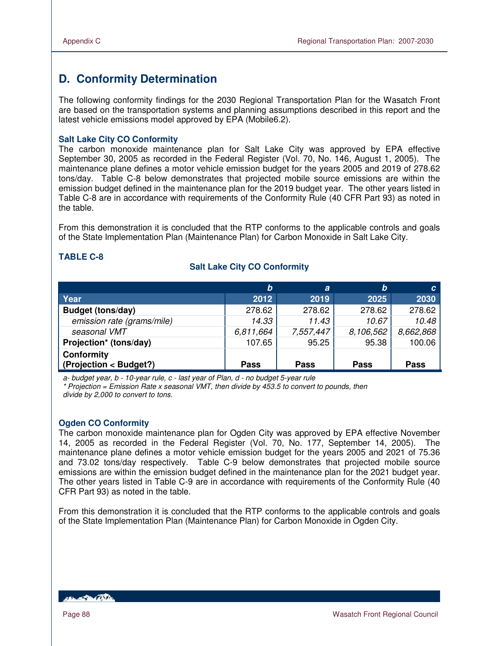# **D. Conformity Determination**

The following conformity findings for the 2030 Regional Transportation Plan for the Wasatch Front are based on the transportation systems and planning assumptions described in this report and the latest vehicle emissions model approved by EPA (Mobile6.2).

#### **Salt Lake City CO Conformity**

The carbon monoxide maintenance plan for Salt Lake City was approved by EPA effective September 30, 2005 as recorded in the Federal Register (Vol. 70, No. 146, August 1, 2005). The maintenance plane defines a motor vehicle emission budget for the years 2005 and 2019 of 278.62 tons/day. Table C-8 below demonstrates that projected mobile source emissions are within the emission budget defined in the maintenance plan for the 2019 budget year. The other years listed in Table C-8 are in accordance with requirements of the Conformity Rule (40 CFR Part 93) as noted in the table.

From this demonstration it is concluded that the RTP conforms to the applicable controls and goals of the State Implementation Plan (Maintenance Plan) for Carbon Monoxide in Salt Lake City.

#### **TABLE C-8**

# **Salt Lake City CO Conformity**

|                                      | b         | $\boldsymbol{a}$ | b           | C.          |
|--------------------------------------|-----------|------------------|-------------|-------------|
| Year                                 | 2012      | 2019             | 2025        | 2030        |
| <b>Budget (tons/day)</b>             | 278.62    | 278.62           | 278.62      | 278.62      |
| emission rate (grams/mile)           | 14.33     | 11.43            | 10.67       | 10.48       |
| seasonal VMT                         | 6,811,664 | 7,557,447        | 8,106,562   | 8,662,868   |
| Projection* (tons/day)               | 107.65    | 95.25            | 95.38       | 100.06      |
| Conformity<br>(Projection < Budget?) | Pass      | <b>Pass</b>      | <b>Pass</b> | <b>Pass</b> |

a- budget year, b - 10-year rule, c - last year of Plan, d - no budget 5-year rule \* Projection = Emission Rate x seasonal VMT, then divide by 453.5 to convert to pounds, then divide by 2,000 to convert to tons.

#### **Ogden CO Conformity**

The carbon monoxide maintenance plan for Ogden City was approved by EPA effective November 14, 2005 as recorded in the Federal Register (Vol. 70, No. 177, September 14, 2005). The maintenance plane defines a motor vehicle emission budget for the years 2005 and 2021 of 75.36 and 73.02 tons/day respectively. Table C-9 below demonstrates that projected mobile source emissions are within the emission budget defined in the maintenance plan for the 2021 budget year. The other years listed in Table C-9 are in accordance with requirements of the Conformity Rule (40 CFR Part 93) as noted in the table.

From this demonstration it is concluded that the RTP conforms to the applicable controls and goals of the State Implementation Plan (Maintenance Plan) for Carbon Monoxide in Ogden City.

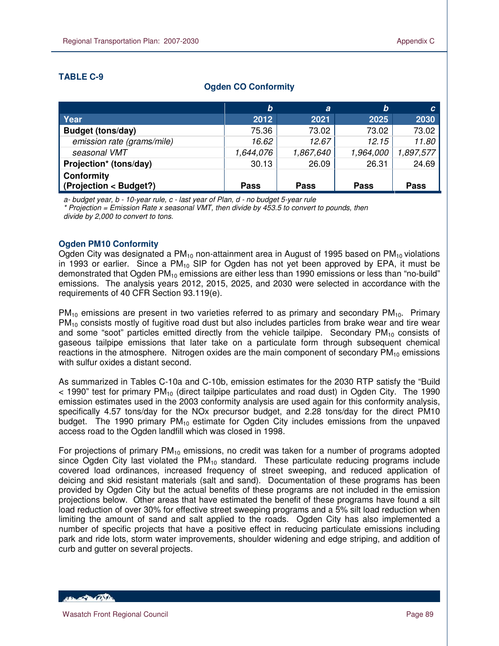# **TABLE C-9**

 $\overline{a}$ 

|                                             | $\bm{b}$    | a           | b           | C.        |
|---------------------------------------------|-------------|-------------|-------------|-----------|
| Year                                        | 2012        | 2021        | 2025        | 2030      |
| <b>Budget (tons/day)</b>                    | 75.36       | 73.02       | 73.02       | 73.02     |
| emission rate (grams/mile)                  | 16.62       | 12.67       | 12.15       | 11.80     |
| seasonal VMT                                | 1,644,076   | 1,867,640   | 1,964,000   | 1,897,577 |
| Projection* (tons/day)                      | 30.13       | 26.09       | 26.31       | 24.69     |
| <b>Conformity</b><br>(Projection < Budget?) | <b>Pass</b> | <b>Pass</b> | <b>Pass</b> | Pass      |

# **Ogden CO Conformity**

a- budget year, b - 10-year rule, c - last year of Plan, d - no budget 5-year rule

 $*$  Projection = Emission Rate x seasonal VMT, then divide by 453.5 to convert to pounds, then divide by 2,000 to convert to tons.

# **Ogden PM10 Conformity**

Ogden City was designated a PM<sub>10</sub> non-attainment area in August of 1995 based on PM<sub>10</sub> violations in 1993 or earlier. Since a  $PM_{10}$  SIP for Ogden has not yet been approved by EPA, it must be demonstrated that Ogden  $PM_{10}$  emissions are either less than 1990 emissions or less than "no-build" emissions. The analysis years 2012, 2015, 2025, and 2030 were selected in accordance with the requirements of 40 CFR Section 93.119(e).

 $PM_{10}$  emissions are present in two varieties referred to as primary and secondary  $PM_{10}$ . Primary PM<sub>10</sub> consists mostly of fugitive road dust but also includes particles from brake wear and tire wear and some "soot" particles emitted directly from the vehicle tailpipe. Secondary  $PM_{10}$  consists of gaseous tailpipe emissions that later take on a particulate form through subsequent chemical reactions in the atmosphere. Nitrogen oxides are the main component of secondary  $PM_{10}$  emissions with sulfur oxides a distant second.

As summarized in Tables C-10a and C-10b, emission estimates for the 2030 RTP satisfy the "Build  $<$  1990" test for primary PM<sub>10</sub> (direct tailpipe particulates and road dust) in Ogden City. The 1990 emission estimates used in the 2003 conformity analysis are used again for this conformity analysis, specifically 4.57 tons/day for the NOx precursor budget, and 2.28 tons/day for the direct PM10 budget. The 1990 primary  $PM_{10}$  estimate for Ogden City includes emissions from the unpaved access road to the Ogden landfill which was closed in 1998.

For projections of primary  $PM_{10}$  emissions, no credit was taken for a number of programs adopted since Ogden City last violated the  $PM_{10}$  standard. These particulate reducing programs include covered load ordinances, increased frequency of street sweeping, and reduced application of deicing and skid resistant materials (salt and sand). Documentation of these programs has been provided by Ogden City but the actual benefits of these programs are not included in the emission projections below. Other areas that have estimated the benefit of these programs have found a silt load reduction of over 30% for effective street sweeping programs and a 5% silt load reduction when limiting the amount of sand and salt applied to the roads. Ogden City has also implemented a number of specific projects that have a positive effect in reducing particulate emissions including park and ride lots, storm water improvements, shoulder widening and edge striping, and addition of curb and gutter on several projects.

**Control Date**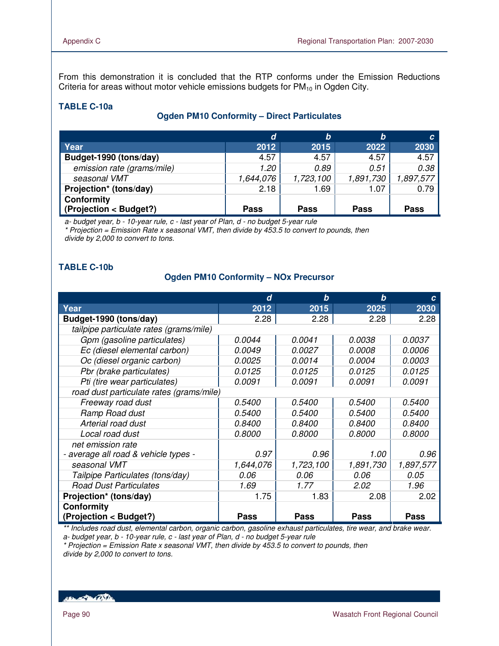From this demonstration it is concluded that the RTP conforms under the Emission Reductions Criteria for areas without motor vehicle emissions budgets for  $PM_{10}$  in Ogden City.

# **TABLE C-10a**

# **Ogden PM10 Conformity – Direct Particulates**

|                                                                  | d           | b           | b           | C.        |
|------------------------------------------------------------------|-------------|-------------|-------------|-----------|
| Year                                                             | 2012        | 2015        | 2022        | 2030      |
| Budget-1990 (tons/day)                                           | 4.57        | 4.57        | 4.57        | 4.57      |
| emission rate (grams/mile)                                       | 1.20        | 0.89        | 0.51        | 0.38      |
| seasonal VMT                                                     | 1,644,076   | 1,723,100   | 1,891,730   | 1,897,577 |
| Projection* (tons/day)                                           | 2.18        | 1.69        | 1.07        | 0.79      |
| <b>Conformity</b><br>$\sqrt{\frac{1}{1}}$ (Projection < Budget?) | <b>Pass</b> | <b>Pass</b> | <b>Pass</b> | Pass      |

a- budget year, b - 10-year rule, c - last year of Plan, d - no budget 5-year rule \* Projection = Emission Rate x seasonal VMT, then divide by 453.5 to convert to pounds, then divide by 2,000 to convert to tons.

# **TABLE C-10b**

#### **Ogden PM10 Conformity – NOx Precursor**

|                                          | d             | $\bm{b}$      | b             | C             |
|------------------------------------------|---------------|---------------|---------------|---------------|
| Year                                     | 2012          | 2015          | 2025          | 2030          |
| Budget-1990 (tons/day)                   | 2.28          | 2.28          | 2.28          | 2.28          |
| tailpipe particulate rates (grams/mile)  |               |               |               |               |
| Gpm (gasoline particulates)              | 0.0044        | 0.0041        | 0.0038        | 0.0037        |
| Ec (diesel elemental carbon)             | 0.0049        | 0.0027        | <i>0.0008</i> | 0.0006        |
| Oc (diesel organic carbon)               | 0.0025        | 0.0014        | <i>0.0004</i> | <i>0.0003</i> |
| Pbr (brake particulates)                 | 0.0125        | 0.0125        | 0.0125        | 0.0125        |
| Pti (tire wear particulates)             | 0.0091        | 0.0091        | 0.0091        | 0.0091        |
| road dust particulate rates (grams/mile) |               |               |               |               |
| Freeway road dust                        | <i>0.5400</i> | <i>0.5400</i> | <i>0.5400</i> | <i>0.5400</i> |
| Ramp Road dust                           | 0.5400        | <i>0.5400</i> | <i>0.5400</i> | <i>0.5400</i> |
| Arterial road dust                       | 0.8400        | <i>0.8400</i> | <i>0.8400</i> | <i>0.8400</i> |
| Local road dust                          | 0.8000        | <i>0.8000</i> | <i>0.8000</i> | 0.8000        |
| net emission rate                        |               |               |               |               |
| - average all road & vehicle types -     | 0.97          | 0.96          | 1.00          | 0.96          |
| seasonal VMT                             | 1,644,076     | 1,723,100     | 1,891,730     | 1,897,577     |
| Tailpipe Particulates (tons/day)         | 0.06          | 0.06          | 0.06          | 0.05          |
| <b>Road Dust Particulates</b>            | 1.69          | 1.77          | 2.02          | 1.96          |
| Projection* (tons/day)                   | 1.75          | 1.83          | 2.08          | 2.02          |
| <b>Conformity</b>                        |               |               |               |               |
| (Projection < Budget?)                   | <b>Pass</b>   | <b>Pass</b>   | <b>Pass</b>   | <b>Pass</b>   |

\*\* Includes road dust, elemental carbon, organic carbon, gasoline exhaust particulates, tire wear, and brake wear. a- budget year, b - 10-year rule, c - last year of Plan, d - no budget 5-year rule

 $*$  Projection = Emission Rate x seasonal VMT, then divide by 453.5 to convert to pounds, then divide by 2,000 to convert to tons.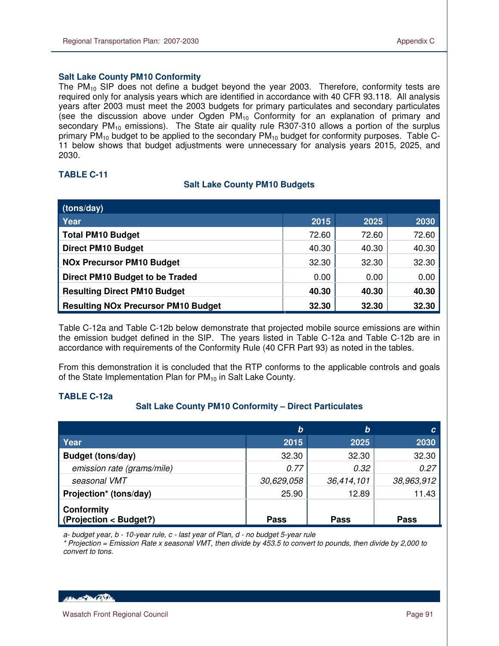#### **Salt Lake County PM10 Conformity**

The PM $_{10}$  SIP does not define a budget beyond the year 2003. Therefore, conformity tests are required only for analysis years which are identified in accordance with 40 CFR 93.118. All analysis years after 2003 must meet the 2003 budgets for primary particulates and secondary particulates (see the discussion above under Ogden  $PM_{10}$  Conformity for an explanation of primary and secondary  $PM_{10}$  emissions). The State air quality rule R307-310 allows a portion of the surplus primary  $PM_{10}$  budget to be applied to the secondary  $PM_{10}$  budget for conformity purposes. Table C-11 below shows that budget adjustments were unnecessary for analysis years 2015, 2025, and 2030.

#### **TABLE C-11**

 $\overline{a}$ 

#### **Salt Lake County PM10 Budgets**

| (tons/day)                                 |       |       |       |
|--------------------------------------------|-------|-------|-------|
| Year                                       | 2015  | 2025  | 2030  |
| <b>Total PM10 Budget</b>                   | 72.60 | 72.60 | 72.60 |
| <b>Direct PM10 Budget</b>                  | 40.30 | 40.30 | 40.30 |
| <b>NOx Precursor PM10 Budget</b>           | 32.30 | 32.30 | 32.30 |
| Direct PM10 Budget to be Traded            | 0.00  | 0.00  | 0.00  |
| <b>Resulting Direct PM10 Budget</b>        | 40.30 | 40.30 | 40.30 |
| <b>Resulting NOx Precursor PM10 Budget</b> | 32.30 | 32.30 | 32.30 |

Table C-12a and Table C-12b below demonstrate that projected mobile source emissions are within the emission budget defined in the SIP. The years listed in Table C-12a and Table C-12b are in accordance with requirements of the Conformity Rule (40 CFR Part 93) as noted in the tables.

From this demonstration it is concluded that the RTP conforms to the applicable controls and goals of the State Implementation Plan for  $PM_{10}$  in Salt Lake County.

#### **TABLE C-12a**

#### **Salt Lake County PM10 Conformity – Direct Particulates**

|                                             | b           | b           | C           |
|---------------------------------------------|-------------|-------------|-------------|
| Year                                        | 2015        | 2025        | 2030        |
| <b>Budget (tons/day)</b>                    | 32.30       | 32.30       | 32.30       |
| emission rate (grams/mile)                  | 0.77        | 0.32        | 0.27        |
| seasonal VMT                                | 30,629,058  | 36,414,101  | 38,963,912  |
| Projection* (tons/day)                      | 25.90       | 12.89       | 11.43       |
| <b>Conformity</b><br>(Projection < Budget?) | <b>Pass</b> | <b>Pass</b> | <b>Pass</b> |

a- budget year, b - 10-year rule, c - last year of Plan, d - no budget 5-year rule

\* Projection = Emission Rate x seasonal VMT, then divide by 453.5 to convert to pounds, then divide by 2,000 to convert to tons.

**ARCHANGE DE CONTENT**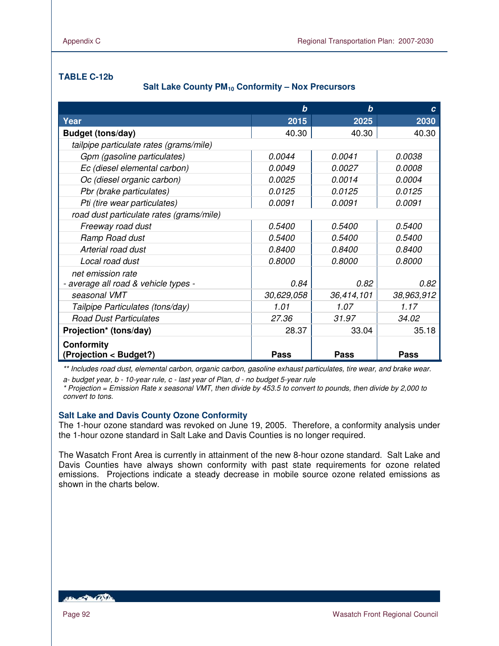# **TABLE C-12b**

# **Salt Lake County PM10 Conformity – Nox Precursors**

|                                             | b           | b             | C             |
|---------------------------------------------|-------------|---------------|---------------|
| Year                                        | 2015        | 2025          | 2030          |
| <b>Budget (tons/day)</b>                    | 40.30       | 40.30         | 40.30         |
| tailpipe particulate rates (grams/mile)     |             |               |               |
| Gpm (gasoline particulates)                 | 0.0044      | 0.0041        | <i>0.0038</i> |
| Ec (diesel elemental carbon)                | 0.0049      | 0.0027        | 0.0008        |
| Oc (diesel organic carbon)                  | 0.0025      | 0.0014        | 0.0004        |
| Pbr (brake particulates)                    | 0.0125      | 0.0125        | 0.0125        |
| Pti (tire wear particulates)                | 0.0091      | 0.0091        | 0.0091        |
| road dust particulate rates (grams/mile)    |             |               |               |
| Freeway road dust                           | 0.5400      | 0.5400        | 0.5400        |
| Ramp Road dust                              | 0.5400      | <i>0.5400</i> | 0.5400        |
| Arterial road dust                          | 0.8400      | 0.8400        | 0.8400        |
| Local road dust                             | 0.8000      | 0.8000        | 0.8000        |
| net emission rate                           |             |               |               |
| - average all road & vehicle types -        | 0.84        | 0.82          | 0.82          |
| seasonal VMT                                | 30,629,058  | 36,414,101    | 38,963,912    |
| Tailpipe Particulates (tons/day)            | 1.01        | 1.07          | 1.17          |
| <b>Road Dust Particulates</b>               | 27.36       | 31.97         | 34.02         |
| Projection* (tons/day)                      | 28.37       | 33.04         | 35.18         |
| <b>Conformity</b><br>(Projection < Budget?) | <b>Pass</b> | <b>Pass</b>   | <b>Pass</b>   |

\*\* Includes road dust, elemental carbon, organic carbon, gasoline exhaust particulates, tire wear, and brake wear.

a- budget year, b - 10-year rule, c - last year of Plan, d - no budget 5-year rule

\* Projection = Emission Rate x seasonal VMT, then divide by 453.5 to convert to pounds, then divide by 2,000 to convert to tons.

#### **Salt Lake and Davis County Ozone Conformity**

The 1-hour ozone standard was revoked on June 19, 2005. Therefore, a conformity analysis under the 1-hour ozone standard in Salt Lake and Davis Counties is no longer required.

The Wasatch Front Area is currently in attainment of the new 8-hour ozone standard. Salt Lake and Davis Counties have always shown conformity with past state requirements for ozone related emissions. Projections indicate a steady decrease in mobile source ozone related emissions as shown in the charts below.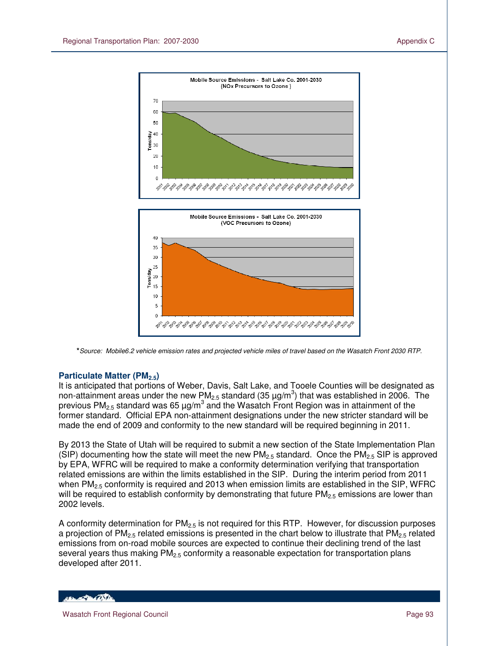

**\***Source: Mobile6.2 vehicle emission rates and projected vehicle miles of travel based on the Wasatch Front 2030 RTP.

# **Particulate Matter (PM2.5)**

It is anticipated that portions of Weber, Davis, Salt Lake, and Tooele Counties will be designated as non-attainment areas under the new PM<sub>2.5</sub> standard (35  $\mu$ g/m<sup>3</sup>) that was established in 2006. The previous PM<sub>2.5</sub> standard was 65  $\mu$ g/m $^3$  and the Wasatch Front Region was in attainment of the former standard. Official EPA non-attainment designations under the new stricter standard will be made the end of 2009 and conformity to the new standard will be required beginning in 2011.

By 2013 the State of Utah will be required to submit a new section of the State Implementation Plan (SIP) documenting how the state will meet the new  $PM_{2.5}$  standard. Once the  $PM_{2.5}$  SIP is approved by EPA, WFRC will be required to make a conformity determination verifying that transportation related emissions are within the limits established in the SIP. During the interim period from 2011 when  $PM_{2.5}$  conformity is required and 2013 when emission limits are established in the SIP, WFRC will be required to establish conformity by demonstrating that future  $PM_{2.5}$  emissions are lower than 2002 levels.

A conformity determination for  $PM<sub>2.5</sub>$  is not required for this RTP. However, for discussion purposes a projection of  $PM_{2.5}$  related emissions is presented in the chart below to illustrate that  $PM_{2.5}$  related emissions from on-road mobile sources are expected to continue their declining trend of the last several years thus making  $PM<sub>2.5</sub>$  conformity a reasonable expectation for transportation plans developed after 2011.

**PAGES**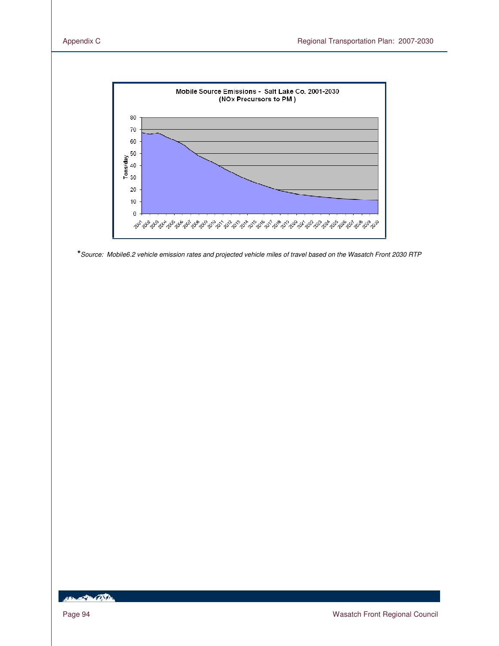

**\***Source: Mobile6.2 vehicle emission rates and projected vehicle miles of travel based on the Wasatch Front 2030 RTP

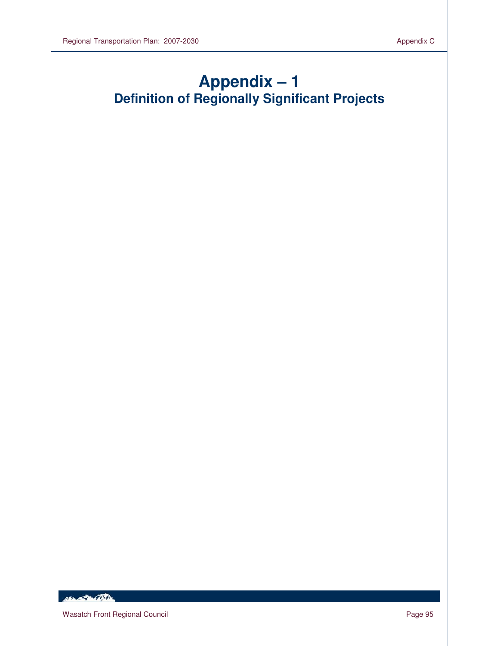# **Appendix – 1 Definition of Regionally Significant Projects**

Her of Martin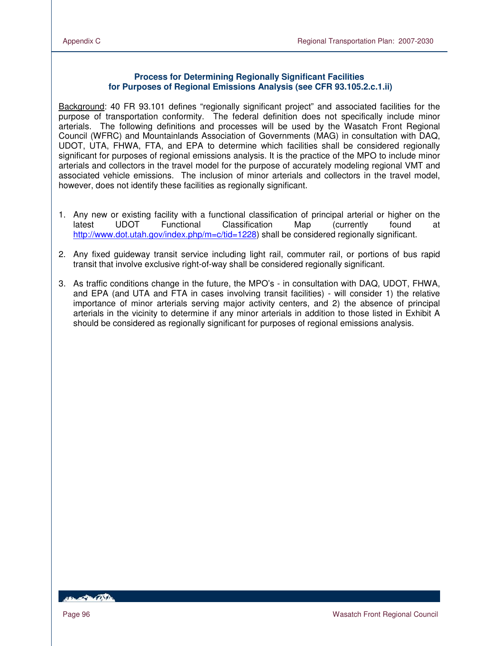#### **Process for Determining Regionally Significant Facilities for Purposes of Regional Emissions Analysis (see CFR 93.105.2.c.1.ii)**

Background: 40 FR 93.101 defines "regionally significant project" and associated facilities for the purpose of transportation conformity. The federal definition does not specifically include minor arterials. The following definitions and processes will be used by the Wasatch Front Regional Council (WFRC) and Mountainlands Association of Governments (MAG) in consultation with DAQ, UDOT, UTA, FHWA, FTA, and EPA to determine which facilities shall be considered regionally significant for purposes of regional emissions analysis. It is the practice of the MPO to include minor arterials and collectors in the travel model for the purpose of accurately modeling regional VMT and associated vehicle emissions. The inclusion of minor arterials and collectors in the travel model, however, does not identify these facilities as regionally significant.

- 1. Any new or existing facility with a functional classification of principal arterial or higher on the latest UDOT Functional Classification Map (currently found at http://www.dot.utah.gov/index.php/m=c/tid=1228) shall be considered regionally significant.
- 2. Any fixed guideway transit service including light rail, commuter rail, or portions of bus rapid transit that involve exclusive right-of-way shall be considered regionally significant.
- 3. As traffic conditions change in the future, the MPO's in consultation with DAQ, UDOT, FHWA, and EPA (and UTA and FTA in cases involving transit facilities) - will consider 1) the relative importance of minor arterials serving major activity centers, and 2) the absence of principal arterials in the vicinity to determine if any minor arterials in addition to those listed in Exhibit A should be considered as regionally significant for purposes of regional emissions analysis.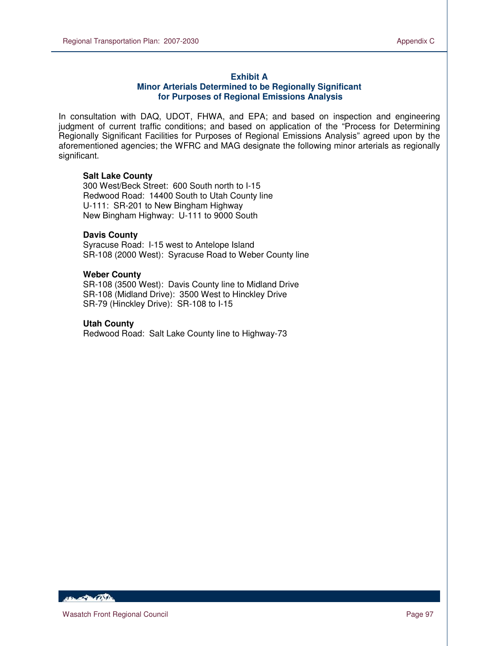#### **Exhibit A**

#### **Minor Arterials Determined to be Regionally Significant for Purposes of Regional Emissions Analysis**

In consultation with DAQ, UDOT, FHWA, and EPA; and based on inspection and engineering judgment of current traffic conditions; and based on application of the "Process for Determining Regionally Significant Facilities for Purposes of Regional Emissions Analysis" agreed upon by the aforementioned agencies; the WFRC and MAG designate the following minor arterials as regionally significant.

#### **Salt Lake County**

300 West/Beck Street: 600 South north to I-15 Redwood Road: 14400 South to Utah County line U-111: SR-201 to New Bingham Highway New Bingham Highway: U-111 to 9000 South

#### **Davis County**

Syracuse Road: I-15 west to Antelope Island SR-108 (2000 West): Syracuse Road to Weber County line

#### **Weber County**

SR-108 (3500 West): Davis County line to Midland Drive SR-108 (Midland Drive): 3500 West to Hinckley Drive SR-79 (Hinckley Drive): SR-108 to I-15

#### **Utah County**

Redwood Road: Salt Lake County line to Highway-73

**ABON AND ARTIST**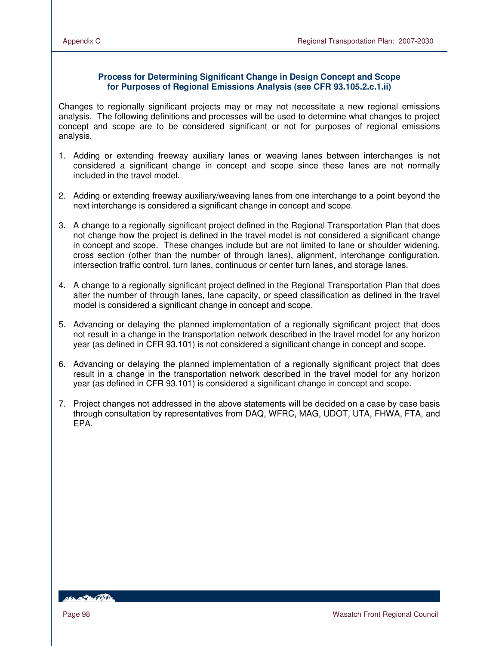#### **Process for Determining Significant Change in Design Concept and Scope for Purposes of Regional Emissions Analysis (see CFR 93.105.2.c.1.ii)**

Changes to regionally significant projects may or may not necessitate a new regional emissions analysis. The following definitions and processes will be used to determine what changes to project concept and scope are to be considered significant or not for purposes of regional emissions analysis.

- 1. Adding or extending freeway auxiliary lanes or weaving lanes between interchanges is not considered a significant change in concept and scope since these lanes are not normally included in the travel model.
- 2. Adding or extending freeway auxiliary/weaving lanes from one interchange to a point beyond the next interchange is considered a significant change in concept and scope.
- 3. A change to a regionally significant project defined in the Regional Transportation Plan that does not change how the project is defined in the travel model is not considered a significant change in concept and scope. These changes include but are not limited to lane or shoulder widening, cross section (other than the number of through lanes), alignment, interchange configuration, intersection traffic control, turn lanes, continuous or center turn lanes, and storage lanes.
- 4. A change to a regionally significant project defined in the Regional Transportation Plan that does alter the number of through lanes, lane capacity, or speed classification as defined in the travel model is considered a significant change in concept and scope.
- 5. Advancing or delaying the planned implementation of a regionally significant project that does not result in a change in the transportation network described in the travel model for any horizon year (as defined in CFR 93.101) is not considered a significant change in concept and scope.
- 6. Advancing or delaying the planned implementation of a regionally significant project that does result in a change in the transportation network described in the travel model for any horizon year (as defined in CFR 93.101) is considered a significant change in concept and scope.
- 7. Project changes not addressed in the above statements will be decided on a case by case basis through consultation by representatives from DAQ, WFRC, MAG, UDOT, UTA, FHWA, FTA, and EPA.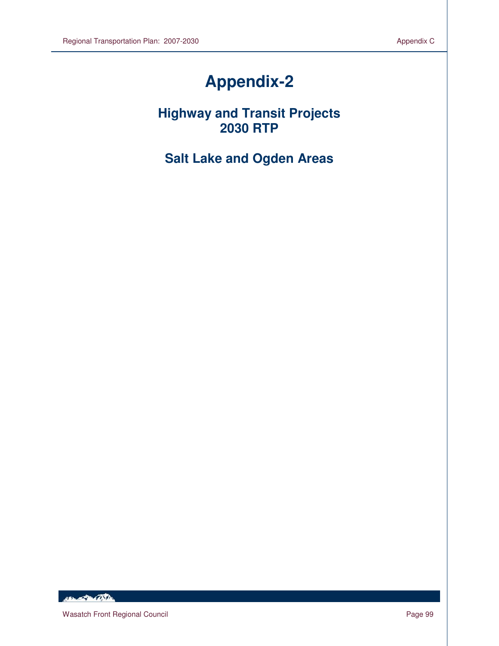# **Appendix-2**

**Highway and Transit Projects 2030 RTP** 

**Salt Lake and Ogden Areas** 

HEL POLITIC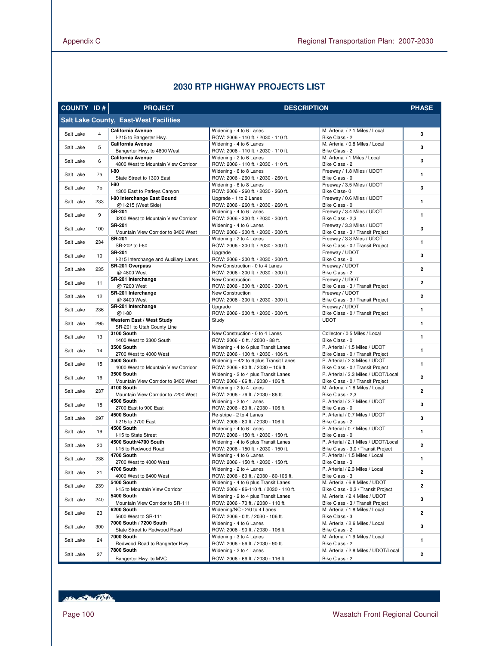# **2030 RTP HIGHWAY PROJECTS LIST**

| <b>COUNTY ID#</b> |                | <b>PROJECT</b>                                           | <b>DESCRIPTION</b>                                                              |                                                                          | <b>PHASE</b>   |
|-------------------|----------------|----------------------------------------------------------|---------------------------------------------------------------------------------|--------------------------------------------------------------------------|----------------|
|                   |                | <b>Salt Lake County, East-West Facilities</b>            |                                                                                 |                                                                          |                |
| Salt Lake         | $\overline{4}$ | <b>California Avenue</b>                                 | Widening - 4 to 6 Lanes                                                         | M. Arterial / 2.1 Miles / Local                                          | 3              |
| Salt Lake         | 5              | I-215 to Bangerter Hwy.<br><b>California Avenue</b>      | ROW: 2006 - 110 ft. / 2030 - 110 ft.<br>Widening - 4 to 6 Lanes                 | Bike Class - 2<br>M. Arterial / 0.8 Miles / Local                        | 3              |
|                   |                | Bangerter Hwy. to 4800 West<br><b>California Avenue</b>  | ROW: 2006 - 110 ft. / 2030 - 110 ft.<br>Widening - 2 to 6 Lanes                 | Bike Class - 2<br>M. Arterial / 1 Miles / Local                          |                |
| Salt Lake         | 6              | 4800 West to Mountain View Corridor                      | ROW: 2006 - 110 ft. / 2030 - 110 ft.                                            | Bike Class - 2                                                           | 3              |
| Salt Lake         | 7a             | $I-80$<br>State Street to 1300 East                      | Widening - 6 to 8 Lanes<br>ROW: 2006 - 260 ft. / 2030 - 260 ft.                 | Freeway / 1.8 Miles / UDOT<br>Bike Class - 0                             | $\mathbf{1}$   |
| Salt Lake         | 7b             | $I-80$<br>1300 East to Parleys Canyon                    | Widening - 6 to 8 Lanes<br>ROW: 2006 - 260 ft. / 2030 - 260 ft.                 | Freeway / 3.5 Miles / UDOT<br>Bike Class-0                               | 3              |
| Salt Lake         | 233            | I-80 Interchange East Bound<br>@ I-215 (West Side)       | Upgrade - 1 to 2 Lanes<br>ROW: 2006 - 260 ft. / 2030 - 260 ft.                  | Freeway / 0.6 Miles / UDOT<br>Bike Class - 0                             | $\mathbf{1}$   |
| Salt Lake         | 9              | <b>SR-201</b><br>3200 West to Mountain View Corridor     | Widening - 4 to 6 Lanes<br>ROW: 2006 - 300 ft. / 2030 - 300 ft.                 | Freeway / 3.4 Miles / UDOT<br>Bike Class - 2,3                           | $\mathbf{1}$   |
| Salt Lake         | 100            | <b>SR-201</b><br>Mountain View Corridor to 8400 West     | Widening - 4 to 6 Lanes<br>ROW: 2006 - 300 ft. / 2030 - 300 ft.                 | Freeway / 3.3 Miles / UDOT<br>Bike Class - 3 / Transit Project           | 3              |
| Salt Lake         | 234            | <b>SR-201</b><br>SR-202 to I-80                          | Widening - 2 to 4 Lanes<br>ROW: 2006 - 300 ft. / 2030 - 300 ft.                 | Freeway / 3.3 Miles / UDOT                                               | $\mathbf{1}$   |
| Salt Lake         | 10             | <b>SR-201</b>                                            | Upgrade                                                                         | Bike Class - 0 / Transit Project<br>Freeway / UDOT                       | 3              |
|                   |                | I-215 Interchange and Auxiliary Lanes<br>SR-201 Overpass | ROW: 2006 - 300 ft. / 2030 - 300 ft.<br>New Construction - 0 to 4 Lanes         | Bike Class - 0<br>Freeway / UDOT                                         |                |
| Salt Lake         | 235            | @ 4800 West                                              | ROW: 2006 - 300 ft. / 2030 - 300 ft.                                            | Bike Class - 2                                                           | $\overline{2}$ |
| Salt Lake         | 11             | SR-201 Interchange<br>@7200 West                         | New Construction<br>ROW: 2006 - 300 ft. / 2030 - 300 ft.                        | Freeway / UDOT<br>Bike Class - 3 / Transit Project                       | $\overline{2}$ |
| Salt Lake         | 12             | SR-201 Interchange<br>@ 8400 West                        | New Construction<br>ROW: 2006 - 300 ft. / 2030 - 300 ft.                        | Freeway / UDOT<br>Bike Class - 3 / Transit Project                       | $\mathbf{2}$   |
| Salt Lake         | 236            | SR-201 Interchange<br>@ I-80                             | Upgrade<br>ROW: 2006 - 300 ft. / 2030 - 300 ft.                                 | Freeway / UDOT<br>Bike Class - 0 / Transit Project                       | $\mathbf{1}$   |
| Salt Lake         | 295            | Western East / West Study                                | Study                                                                           | <b>UDOT</b>                                                              | $\mathbf{1}$   |
| Salt Lake         | 13             | SR-201 to Utah County Line<br>3100 South                 | New Construction - 0 to 4 Lanes                                                 | Collector / 0.5 Miles / Local                                            | $\mathbf{1}$   |
|                   |                | 1400 West to 3300 South<br><b>3500 South</b>             | ROW: 2006 - 0 ft. / 2030 - 88 ft.<br>Widening - 4 to 6 plus Transit Lanes       | Bike Class - 0<br>P. Arterial / 1.5 Miles / UDOT                         |                |
| Salt Lake         | 14             | 2700 West to 4000 West                                   | ROW: 2006 - 100 ft. / 2030 - 106 ft.                                            | Bike Class - 0 / Transit Project                                         | $\mathbf{1}$   |
| Salt Lake         | 15             | <b>3500 South</b><br>4000 West to Mountain View Corridor | Widening - 4/2 to 6 plus Transit Lanes<br>ROW: 2006 - 80 ft. / 2030 - 106 ft.   | P. Arterial / 2.3 Miles / UDOT<br>Bike Class - 0 / Transit Project       | $\mathbf{1}$   |
| Salt Lake         | 16             | <b>3500 South</b><br>Mountain View Corridor to 8400 West | Widening - 2 to 4 plus Transit Lanes<br>ROW: 2006 - 66 ft. / 2030 - 106 ft.     | P. Arterial / 3.3 Miles / UDOT/Local<br>Bike Class - 0 / Transit Project | $\overline{2}$ |
| Salt Lake         | 237            | 4100 South                                               | Widening - 2 to 4 Lanes                                                         | M. Arterial / 1.8 Miles / Local                                          | $\overline{2}$ |
|                   |                | Mountain View Corridor to 7200 West<br>4500 South        | ROW: 2006 - 76 ft. / 2030 - 86 ft.<br>Widening - 2 to 4 Lanes                   | Bike Class - 2,3<br>P. Arterial / 2.7 Miles / UDOT                       |                |
| Salt Lake         | 18             | 2700 East to 900 East                                    | ROW: 2006 - 80 ft. / 2030 - 106 ft.                                             | Bike Class - 0                                                           | 3              |
| Salt Lake         | 297            | 4500 South<br>I-215 to 2700 East                         | Re-stripe - 2 to 4 Lanes<br>ROW: 2006 - 80 ft. / 2030 - 106 ft.                 | P. Arterial / 0.7 Miles / UDOT<br>Bike Class - 2                         | 3              |
| Salt Lake         | 19             | 4500 South                                               | Widening - 4 to 6 Lanes                                                         | P. Arterial / 0.7 Miles / UDOT                                           | $\mathbf{1}$   |
|                   |                | I-15 to State Street<br>4500 South/4700 South            | ROW: 2006 - 150 ft. / 2030 - 150 ft.<br>Widening - 4 to 6 plus Transit Lanes    | Bike Class - 0<br>P. Arterial / 2.1 Miles / UDOT/Local                   |                |
| Salt Lake         | 20             | I-15 to Redwood Road                                     | ROW: 2006 - 150 ft. / 2030 - 150 ft.                                            | Bike Class - 3,0 / Transit Project                                       | $\overline{2}$ |
| Salt Lake         | 238            | 4700 South<br>2700 West to 4000 West                     | Widening - 4 to 6 Lanes<br>ROW: 2006 - 150 ft. / 2030 - 150 ft.                 | P. Arterial / 1.5 Miles / Local<br>Bike Class - 3                        | $\mathbf{1}$   |
| Salt Lake         | 21             | 4700 South<br>4000 West to 6400 West                     | Widening - 2 to 4 Lanes<br>ROW: 2006 - 80 ft. / 2030 - 80-106 ft.               | P. Arterial / 2.3 Miles / Local<br>Bike Class - 3                        | 2              |
| Salt Lake         | 239            | 5400 South<br>I-15 to Mountain View Corridor             | Widening - 4 to 6 plus Transit Lanes<br>ROW: 2006 - 86-110 ft. / 2030 - 110 ft. | M. Arterial / 6.8 Miles / UDOT<br>Bike Class - 0,3 / Transit Project     | $\overline{2}$ |
| Salt Lake         | 240            | 5400 South<br>Mountain View Corridor to SR-111           | Widening - 2 to 4 plus Transit Lanes<br>ROW: 2006 - 70 ft. / 2030 - 110 ft.     | M. Arterial / 2.4 Miles / UDOT<br>Bike Class - 3 / Transit Project       | 3              |
| Salt Lake         | 23             | 6200 South<br>5600 West to SR-111                        | Widening/NC - 2/0 to 4 Lanes<br>ROW: 2006 - 0 ft. / 2030 - 106 ft.              | M. Arterial / 1.8 Miles / Local<br>Bike Class - 3                        | $\overline{2}$ |
|                   |                | 7000 South / 7200 South                                  | Widening - 4 to 6 Lanes                                                         | M. Arterial / 2.6 Miles / Local                                          |                |
| Salt Lake         | 300            | State Street to Redwood Road<br><b>7000 South</b>        | ROW: 2006 - 90 ft. / 2030 - 106 ft.<br>Widening - 3 to 4 Lanes                  | Bike Class - 2<br>M. Arterial / 1.9 Miles / Local                        | 3              |
| Salt Lake         | 24             | Redwood Road to Bangerter Hwy.                           | ROW: 2006 - 56 ft. / 2030 - 90 ft.                                              | Bike Class - 2                                                           | 1              |
| Salt Lake         | 27             | 7800 South<br>Bangerter Hwy. to MVC                      | Widening - 2 to 4 Lanes<br>ROW: 2006 - 66 ft. / 2030 - 116 ft.                  | M. Arterial / 2.8 Miles / UDOT/Local<br>Bike Class - 2                   | 2              |

HELL OF BEAT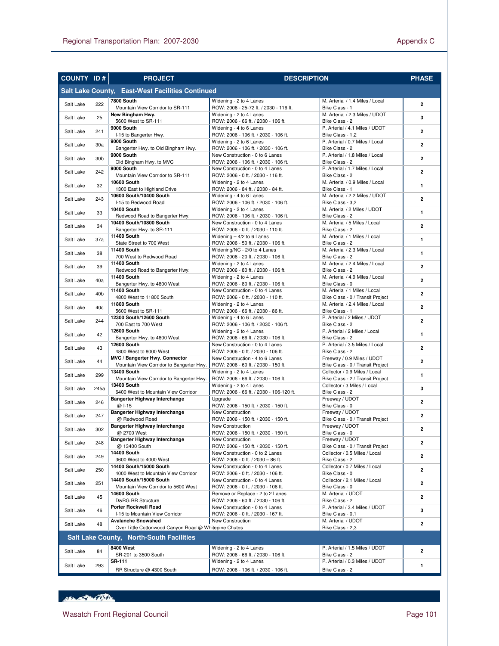| <b>COUNTY ID#</b> |                 | <b>PROJECT</b>                                                                     | <b>DESCRIPTION</b>                                                      |                                                                   | <b>PHASE</b>            |
|-------------------|-----------------|------------------------------------------------------------------------------------|-------------------------------------------------------------------------|-------------------------------------------------------------------|-------------------------|
|                   |                 | Salt Lake County, East-West Facilities Continued                                   |                                                                         |                                                                   |                         |
| Salt Lake         | 222             | 7800 South                                                                         | Widening - 2 to 4 Lanes                                                 | M. Arterial / 1.4 Miles / Local                                   | $\overline{2}$          |
|                   | 25              | Mountain View Corridor to SR-111<br>New Bingham Hwy.                               | ROW: 2006 - 25-72 ft. / 2030 - 116 ft.<br>Widening - 2 to 4 Lanes       | Bike Class - 1<br>M. Arterial / 2.3 Miles / UDOT                  | 3                       |
| Salt Lake         |                 | 5600 West to SR-111<br>9000 South                                                  | ROW: 2006 - 66 ft. / 2030 - 106 ft.                                     | Bike Class - 2                                                    |                         |
| Salt Lake         | 241             | I-15 to Bangerter Hwy.                                                             | Widening - 4 to 6 Lanes<br>ROW: 2006 - 106 ft. / 2030 - 106 ft.         | P. Arterial / 4.1 Miles / UDOT<br>Bike Class - 1,2                | $\overline{2}$          |
| Salt Lake         | 30a             | 9000 South                                                                         | Widening - 2 to 6 Lanes                                                 | P. Arterial / 0.7 Miles / Local                                   | $\mathbf{2}$            |
|                   |                 | Bangerter Hwy. to Old Bingham Hwy.<br>9000 South                                   | ROW: 2006 - 106 ft. / 2030 - 106 ft.<br>New Construction - 0 to 6 Lanes | Bike Class - 2<br>P. Arterial / 1.8 Miles / Local                 |                         |
| Salt Lake         | 30 <sub>b</sub> | Old Bingham Hwy. to MVC                                                            | ROW: 2006 - 106 ft. / 2030 - 106 ft.                                    | Bike Class - 2                                                    | $\overline{2}$          |
| Salt Lake         | 242             | 9000 South<br>Mountain View Corridor to SR-111                                     | New Construction - 0 to 4 Lanes<br>ROW: 2006 - 0 ft. / 2030 - 116 ft.   | P. Arterial / 1.7 Miles / Local<br>Bike Class - 2                 | $\mathbf{2}$            |
| Salt Lake         | 32              | <b>10600 South</b>                                                                 | Widening - 2 to 4 Lanes                                                 | M. Arterial / 0.9 Miles / Local                                   | $\mathbf{1}$            |
|                   |                 | 1300 East to Highland Drive<br>10600 South/10400 South                             | ROW: 2006 - 84 ft. / 2030 - 84 ft.<br>Widening - 4 to 6 Lanes           | Bike Class - 1<br>M. Arterial / 2.2 Miles / UDOT                  |                         |
| Salt Lake         | 243             | I-15 to Redwood Road                                                               | ROW: 2006 - 106 ft. / 2030 - 106 ft.                                    | Bike Class - 3,2                                                  | $\mathbf{2}$            |
| Salt Lake         | 33              | <b>10400 South</b><br>Redwood Road to Bangerter Hwy.                               | Widening - 2 to 4 Lanes<br>ROW: 2006 - 106 ft. / 2030 - 106 ft.         | M. Arterial / 2 Miles / UDOT<br>Bike Class - 2                    | $\mathbf{1}$            |
| Salt Lake         | 34              | 10400 South/10800 South                                                            | New Construction - 0 to 4 Lanes                                         | M. Arterial / 5 Miles / Local                                     | $\overline{2}$          |
|                   |                 | Bangerter Hwy. to SR-111<br>11400 South                                            | ROW: 2006 - 0 ft. / 2030 - 110 ft.<br>Widening $-4/2$ to 6 Lanes        | Bike Class - 2<br>M. Arterial / 1 Miles / Local                   |                         |
| Salt Lake         | 37a             | State Street to 700 West                                                           | ROW: 2006 - 50 ft. / 2030 - 106 ft.                                     | Bike Class - 2                                                    | $\mathbf{1}$            |
| Salt Lake         | 38              | 11400 South<br>700 West to Redwood Road                                            | Widening/NC - 2/0 to 4 Lanes<br>ROW: 2006 - 20 ft. / 2030 - 106 ft.     | M. Arterial / 2.3 Miles / Local<br>Bike Class - 2                 | 1                       |
| Salt Lake         | 39              | <b>11400 South</b>                                                                 | Widening - 2 to 4 Lanes                                                 | M. Arterial / 2.4 Miles / Local                                   | $\mathbf{2}$            |
|                   |                 | Redwood Road to Bangerter Hwy.<br>11400 South                                      | ROW: 2006 - 80 ft. / 2030 - 106 ft.<br>Widening - 2 to 4 Lanes          | Bike Class - 2<br>M. Arterial / 4.9 Miles / Local                 |                         |
| Salt Lake         | 40a             | Bangerter Hwy. to 4800 West                                                        | ROW: 2006 - 80 ft. / 2030 - 106 ft.                                     | Bike Class - 0                                                    | $\overline{2}$          |
| Salt Lake         | 40b             | 11400 South<br>4800 West to 11800 South                                            | New Construction - 0 to 4 Lanes<br>ROW: 2006 - 0 ft. / 2030 - 110 ft.   | M. Arterial / 1 Miles / Local<br>Bike Class - 0 / Transit Project | $\overline{2}$          |
| Salt Lake         | 40 <sub>c</sub> | <b>11800 South</b>                                                                 | Widening - 2 to 4 Lanes                                                 | M. Arterial / 2.4 Miles / Local                                   | $\overline{2}$          |
|                   |                 | 5600 West to SR-111<br>12300 South/12600 South                                     | ROW: 2006 - 66 ft. / 2030 - 86 ft.<br>Widening - 4 to 6 Lanes           | Bike Class - 1<br>P. Arterial / 2 Miles / UDOT                    |                         |
| Salt Lake         | 244             | 700 East to 700 West                                                               | ROW: 2006 - 106 ft. / 2030 - 106 ft.                                    | Bike Class - 2                                                    | $\mathbf{2}$            |
| Salt Lake         | 42              | <b>12600 South</b><br>Bangerter Hwy. to 4800 West                                  | Widening - 2 to 4 Lanes<br>ROW: 2006 - 66 ft. / 2030 - 106 ft.          | P. Arterial / 2 Miles / Local<br>Bike Class - 2                   | $\mathbf{1}$            |
| Salt Lake         | 43              | <b>12600 South</b>                                                                 | New Construction - 0 to 4 Lanes                                         | P. Arterial / 3.5 Miles / Local                                   | $\overline{2}$          |
|                   |                 | 4800 West to 8000 West<br>MVC / Bangerter Hwy. Connector                           | ROW: 2006 - 0 ft. / 2030 - 106 ft.<br>New Construction - 4 to 6 Lanes   | Bike Class - 2<br>Freeway / 0.9 Miles / UDOT                      |                         |
| Salt Lake         | 44              | Mountain View Corridor to Bangerter Hwy.                                           | ROW: 2006 - 60 ft. / 2030 - 150 ft.                                     | Bike Class - 0 / Transit Project                                  | $\overline{2}$          |
| Salt Lake         | 299             | <b>13400 South</b>                                                                 | Widening - 2 to 4 Lanes                                                 | Collector / 0.9 Miles / Local                                     | $\mathbf{1}$            |
| Salt Lake         |                 | Mountain View Corridor to Bangerter Hwy.<br>13400 South                            | ROW: 2006 - 66 ft. / 2030 - 106 ft.<br>Widening - 2 to 4 Lanes          | Bike Class - 2 / Transit Project<br>Collector / 3 Miles / Local   | 3                       |
|                   | 245a            | 6400 West to Mountain View Corridor                                                | ROW: 2006 - 66 ft. / 2030 - 106-120 ft.                                 | Bike Class - 2                                                    |                         |
| Salt Lake         | 246             | Bangerter Highway Interchange<br>@ I-15                                            | Upgrade<br>ROW: 2006 - 150 ft. / 2030 - 150 ft.                         | Freeway / UDOT<br>Bike Class - 0                                  | $\overline{2}$          |
| Salt Lake         | 247             | Bangerter Highway Interchange                                                      | New Construction                                                        | Freeway / UDOT                                                    | $\overline{2}$          |
|                   |                 | @ Redwood Road<br><b>Bangerter Highway Interchange</b>                             | ROW: 2006 - 150 ft. / 2030 - 150 ft.<br>New Construction                | Bike Class - 0 / Transit Project<br>Freeway / UDOT                |                         |
| Salt Lake         | 302             | @ 2700 West                                                                        | ROW: 2006 - 150 ft. / 2030 - 150 ft.                                    | Bike Class - 0                                                    | $\mathbf{2}$            |
| Salt Lake         | 248             | Bangerter Highway Interchange<br>@ 13400 South                                     | New Construction<br>ROW: 2006 - 150 ft. / 2030 - 150 ft.                | Freeway / UDOT<br>Bike Class - 0 / Transit Project                | 2                       |
| Salt Lake         | 249             | 14400 South                                                                        | New Construction - 0 to 2 Lanes                                         | Collector / 0.5 Miles / Local                                     | 2                       |
|                   |                 | 3600 West to 4000 West<br>14400 South/15000 South                                  | ROW: 2006 - 0 ft. / 2030 - 86 ft.<br>New Construction - 0 to 4 Lanes    | Bike Class - 2<br>Collector / 0.7 Miles / Local                   |                         |
| Salt Lake         | 250             | 4000 West to Mountain View Corridor                                                | ROW: 2006 - 0 ft. / 2030 - 106 ft.                                      | Bike Class - 0                                                    | $\overline{\mathbf{2}}$ |
| Salt Lake         | 251             | 14400 South/15000 South<br>Mountain View Corridor to 5600 West                     | New Construction - 0 to 4 Lanes<br>ROW: 2006 - 0 ft. / 2030 - 106 ft.   | Collector / 2.1 Miles / Local<br>Bike Class - 0                   | 2                       |
| Salt Lake         | 45              | <b>14600 South</b>                                                                 | Remove or Replace - 2 to 2 Lanes                                        | M. Arterial / UDOT                                                | 2                       |
|                   |                 | <b>D&amp;RG RR Structure</b><br>Porter Rockwell Road                               | ROW: 2006 - 60 ft. / 2030 - 106 ft.<br>New Construction - 0 to 4 Lanes  | Bike Class - 2<br>P. Arterial / 3.4 Miles / UDOT                  |                         |
| Salt Lake         | 46              | I-15 to Mountain View Corridor                                                     | ROW: 2006 - 0 ft. / 2030 - 167 ft.                                      | Bike Class - 0,1                                                  | 3                       |
| Salt Lake         | 48              | <b>Avalanche Snowshed</b><br>Over Little Cottonwood Canyon Road @ Whitepine Chutes | New Construction                                                        | M. Arterial / UDOT<br>Bike Class - 2,3                            | 2                       |
|                   |                 | <b>Salt Lake County, North-South Facilities</b>                                    |                                                                         |                                                                   |                         |
|                   |                 | 8400 West                                                                          | Widening - 2 to 4 Lanes                                                 | P. Arterial / 1.5 Miles / UDOT                                    |                         |
| Salt Lake         | 84              | SR-201 to 3500 South                                                               | ROW: 2006 - 66 ft. / 2030 - 106 ft.                                     | Bike Class - 2                                                    | 2                       |
| Salt Lake         | 293             | SR-111<br>RR Structure @ 4300 South                                                | Widening - 2 to 4 Lanes<br>ROW: 2006 - 106 ft. / 2030 - 106 ft.         | P. Arterial / 0.3 Miles / UDOT<br>Bike Class - 2                  | 1                       |
|                   |                 |                                                                                    |                                                                         |                                                                   |                         |

# HELL AND CONTROL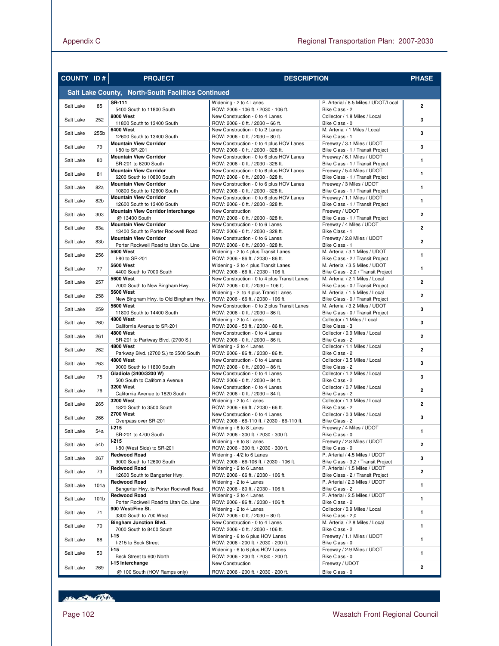| <b>COUNTY ID#</b> |      | <b>PROJECT</b>                                                         | <b>DESCRIPTION</b>                                                                 |                                                                      | <b>PHASE</b>            |
|-------------------|------|------------------------------------------------------------------------|------------------------------------------------------------------------------------|----------------------------------------------------------------------|-------------------------|
|                   |      | Salt Lake County, North-South Facilities Continued                     |                                                                                    |                                                                      |                         |
| Salt Lake         | 85   | <b>SR-111</b><br>5400 South to 11800 South                             | Widening - 2 to 4 Lanes<br>ROW: 2006 - 106 ft. / 2030 - 106 ft.                    | P. Arterial / 8.5 Miles / UDOT/Local<br>Bike Class - 2               | $\overline{2}$          |
| Salt Lake         | 252  | 8000 West<br>11800 South to 13400 South                                | New Construction - 0 to 4 Lanes<br>ROW: 2006 - 0 ft. / 2030 - 66 ft.               | Collector / 1.8 Miles / Local<br>Bike Class - 0                      | 3                       |
| Salt Lake         | 255b | 6400 West<br>12600 South to 13400 South                                | New Construction - 0 to 2 Lanes<br>ROW: 2006 - 0 ft. / 2030 - 80 ft.               | M. Arterial / 1 Miles / Local<br>Bike Class - 1                      | 3                       |
| Salt Lake         | 79   | <b>Mountain View Corridor</b><br>I-80 to SR-201                        | New Construction - 0 to 4 plus HOV Lanes<br>ROW: 2006 - 0 ft. / 2030 - 328 ft.     | Freeway / 3.1 Miles / UDOT<br>Bike Class - 1 / Transit Project       | 3                       |
| Salt Lake         | 80   | <b>Mountain View Corridor</b><br>SR-201 to 6200 South                  | New Construction - 0 to 6 plus HOV Lanes<br>ROW: 2006 - 0 ft. / 2030 - 328 ft.     | Freeway / 6.1 Miles / UDOT<br>Bike Class - 1 / Transit Project       | $\mathbf{1}$            |
| Salt Lake         | 81   | <b>Mountain View Corridor</b><br>6200 South to 10800 South             | New Construction - 0 to 6 plus HOV Lanes<br>ROW: 2006 - 0 ft. / 2030 - 328 ft.     | Freeway / 5.4 Miles / UDOT<br>Bike Class - 1 / Transit Project       | $\mathbf{1}$            |
| Salt Lake         | 82a  | <b>Mountain View Corridor</b><br>10800 South to 12600 South            | New Construction - 0 to 6 plus HOV Lanes<br>ROW: 2006 - 0 ft. / 2030 - 328 ft.     | Freeway / 3 Miles / UDOT<br>Bike Class - 1 / Transit Project         | $\mathbf{1}$            |
| Salt Lake         | 82b  | <b>Mountain View Corridor</b><br>12600 South to 13400 South            | New Construction - 0 to 6 plus HOV Lanes<br>ROW: 2006 - 0 ft. / 2030 - 328 ft.     | Freeway / 1.1 Miles / UDOT<br>Bike Class - 1 / Transit Project       | $\mathbf{1}$            |
| Salt Lake         | 303  | <b>Mountain View Corridor Interchange</b><br>@ 13400 South             | New Construction<br>ROW: 2006 - 0 ft. / 2030 - 328 ft.                             | Freeway / UDOT<br>Bike Class - 1 / Transit Project                   | $\overline{2}$          |
| Salt Lake         | 83a  | <b>Mountain View Corridor</b><br>13400 South to Porter Rockwell Road   | New Construction - 0 to 6 Lanes<br>ROW: 2006 - 0 ft. / 2030 - 328 ft.              | Freeway / 4 Miles / UDOT<br>Bike Class - 1                           | $\overline{2}$          |
| Salt Lake         | 83b  | <b>Mountain View Corridor</b><br>Porter Rockwell Road to Utah Co. Line | New Construction - 0 to 6 Lanes<br>ROW: 2006 - 0 ft. / 2030 - 328 ft.              | Freeway / 2.8 Miles / UDOT<br>Bike Class - 1                         | $\overline{2}$          |
| Salt Lake         | 256  | <b>5600 West</b><br>I-80 to SR-201                                     | Widening - 2 to 4 plus Transit Lanes<br>ROW: 2006 - 86 ft. / 2030 - 86 ft.         | M. Arterial / 3.1 Miles / UDOT<br>Bike Class - 2 / Transit Project   | $\mathbf{1}$            |
| Salt Lake         | 77   | <b>5600 West</b><br>4400 South to 7000 South                           | Widening - 2 to 4 plus Transit Lanes<br>ROW: 2006 - 66 ft. / 2030 - 106 ft.        | M. Arterial / 3.5 Miles / UDOT<br>Bike Class - 2,0 / Transit Project | $\mathbf{1}$            |
| Salt Lake         | 257  | <b>5600 West</b><br>7000 South to New Bingham Hwy.                     | New Construction - 0 to 4 plus Transit Lanes<br>ROW: 2006 - 0 ft. / 2030 - 106 ft. | M. Arterial / 2.1 Miles / Local<br>Bike Class - 0 / Transit Project  | $\overline{2}$          |
| Salt Lake         | 258  | <b>5600 West</b><br>New Bingham Hwy. to Old Bingham Hwy.               | Widening - 2 to 4 plus Transit Lanes<br>ROW: 2006 - 66 ft. / 2030 - 106 ft.        | M. Arterial / 1.5 Miles / Local<br>Bike Class - 0 / Transit Project  | $\overline{2}$          |
| Salt Lake         | 259  | <b>5600 West</b><br>11800 South to 14400 South                         | New Construction - 0 to 2 plus Transit Lanes<br>ROW: 2006 - 0 ft. / 2030 - 86 ft.  | M. Arterial / 3.2 Miles / UDOT<br>Bike Class - 0 / Transit Project   | 3                       |
| Salt Lake         | 260  | <b>4800 West</b><br>California Avenue to SR-201                        | Widening - 2 to 4 Lanes<br>ROW: 2006 - 50 ft. / 2030 - 86 ft.                      | Collector / 1 Miles / Local<br>Bike Class - 3                        | 3                       |
| Salt Lake         | 261  | <b>4800 West</b><br>SR-201 to Parkway Blvd. (2700 S.)                  | New Construction - 0 to 4 Lanes<br>ROW: 2006 - 0 ft. / 2030 - 86 ft.               | Collector / 0.9 Miles / Local<br>Bike Class - 2                      | $\overline{2}$          |
| Salt Lake         | 262  | <b>4800 West</b><br>Parkway Blvd. (2700 S.) to 3500 South              | Widening - 2 to 4 Lanes<br>ROW: 2006 - 86 ft. / 2030 - 86 ft.                      | Collector / 1.1 Miles / Local<br>Bike Class - 2                      | $\overline{2}$          |
| Salt Lake         | 263  | <b>4800 West</b><br>9000 South to 11800 South                          | New Construction - 0 to 4 Lanes<br>ROW: 2006 - 0 ft. / 2030 - 86 ft.               | Collector / 3.5 Miles / Local<br>Bike Class - 2                      | 3                       |
| Salt Lake         | 75   | Gladiola (3400/3200 W)<br>500 South to California Avenue               | New Construction - 0 to 4 Lanes<br>ROW: 2006 - 0 ft. / 2030 - 84 ft.               | Collector / 1.2 Miles / Local<br>Bike Class - 2                      | 3                       |
| Salt Lake         | 76   | <b>3200 West</b><br>California Avenue to 1820 South                    | New Construction - 0 to 4 Lanes<br>ROW: 2006 - 0 ft. / 2030 - 84 ft.               | Collector / 0.7 Miles / Local<br>Bike Class - 2                      | $\overline{\mathbf{2}}$ |
| Salt Lake         | 265  | <b>3200 West</b><br>1820 South to 3500 South                           | Widening - 2 to 4 Lanes<br>ROW: 2006 - 66 ft. / 2030 - 66 ft.                      | Collector / 1.3 Miles / Local<br>Bike Class - 2                      | $\overline{2}$          |
| Salt Lake         | 266  | <b>2700 West</b><br>Overpass over SR-201                               | New Construction - 0 to 4 Lanes<br>ROW: 2006 - 66-110 ft. / 2030 - 66-110 ft.      | Collector / 0.3 Miles / Local<br>Bike Class - 2                      | 3                       |
| Salt Lake         | 54a  | $1 - 215$<br>SR-201 to 4700 South                                      | Widening - 6 to 8 Lanes<br>ROW: 2006 - 300 ft. / 2030 - 300 ft.                    | Freeway / 4 Miles / UDOT<br>Bike Class - 0                           | $\mathbf{1}$            |
| Salt Lake         | 54b  | $1-215$<br>I-80 (West Side) to SR-201                                  | Widening - 6 to 8 Lanes<br>ROW: 2006 - 300 ft. / 2030 - 300 ft.                    | Freeway / 2.8 Miles / UDOT<br>Bike Class - 0                         | $\mathbf{2}$            |
| Salt Lake         | 267  | <b>Redwood Road</b><br>9000 South to 12600 South                       | Widening - 4/2 to 6 Lanes<br>ROW: 2006 - 66-106 ft. / 2030 - 106 ft.               | P. Arterial / 4.5 Miles / UDOT<br>Bike Class - 3,2 / Transit Project | 3                       |
| Salt Lake         | 73   | <b>Redwood Road</b><br>12600 South to Bangerter Hwy.                   | Widening - 2 to 6 Lanes<br>ROW: 2006 - 66 ft. / 2030 - 106 ft.                     | P. Arterial / 1.5 Miles / UDOT<br>Bike Class - 2 / Transit Project   | 2                       |
| Salt Lake         | 101a | <b>Redwood Road</b><br>Bangerter Hwy. to Porter Rockwell Road          | Widening - 2 to 4 Lanes<br>ROW: 2006 - 80 ft. / 2030 - 106 ft.                     | P. Arterial / 2.3 Miles / UDOT<br>Bike Class - 2                     | 1                       |
| Salt Lake         | 101b | <b>Redwood Road</b><br>Porter Rockwell Road to Utah Co. Line           | Widening - 2 to 4 Lanes<br>ROW: 2006 - 86 ft. / 2030 - 106 ft.                     | P. Arterial / 2.5 Miles / UDOT<br>Bike Class - 2                     | 1                       |
| Salt Lake         | 71   | 900 West/Fine St.<br>3300 South to 700 West                            | Widening - 2 to 4 Lanes<br>ROW: 2006 - 0 ft. / 2030 - 80 ft.                       | Collector / 0.9 Miles / Local<br>Bike Class - 2,0                    | 1                       |
| Salt Lake         | 70   | <b>Bingham Junction Blvd.</b><br>7000 South to 8400 South              | New Construction - 0 to 4 Lanes<br>ROW: 2006 - 0 ft. / 2030 - 106 ft.              | M. Arterial / 2.8 Miles / Local<br>Bike Class - 2                    | $\mathbf{1}$            |
| Salt Lake         | 88   | $1 - 15$<br>I-215 to Beck Street                                       | Widening - 6 to 6 plus HOV Lanes<br>ROW: 2006 - 200 ft. / 2030 - 200 ft.           | Freeway / 1.1 Miles / UDOT<br>Bike Class - 0                         | $\mathbf{1}$            |
| Salt Lake         | 50   | $1-15$<br>Beck Street to 600 North                                     | Widening - 6 to 6 plus HOV Lanes<br>ROW: 2006 - 200 ft. / 2030 - 200 ft.           | Freeway / 2.9 Miles / UDOT<br>Bike Class - 0                         | 1                       |
| Salt Lake         | 269  | I-15 Interchange<br>@ 100 South (HOV Ramps only)                       | New Construction<br>ROW: 2006 - 200 ft. / 2030 - 200 ft.                           | Freeway / UDOT<br>Bike Class - 0                                     | 2                       |

Home Barton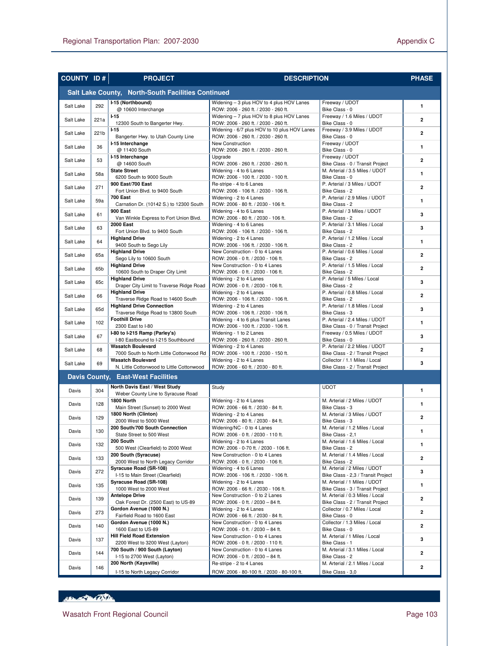| <b>COUNTY ID#</b> |      | <b>PROJECT</b>                                                         | <b>DESCRIPTION</b>                                                                |                                                                   | <b>PHASE</b>            |
|-------------------|------|------------------------------------------------------------------------|-----------------------------------------------------------------------------------|-------------------------------------------------------------------|-------------------------|
|                   |      | Salt Lake County, North-South Facilities Continued                     |                                                                                   |                                                                   |                         |
| Salt Lake         | 292  | I-15 (Northbound)                                                      | Widening - 3 plus HOV to 4 plus HOV Lanes                                         | Freeway / UDOT                                                    | $\mathbf{1}$            |
|                   |      | @ 10600 Interchange<br>$1 - 15$                                        | ROW: 2006 - 260 ft. / 2030 - 260 ft.                                              | Bike Class - 0<br>Freeway / 1.6 Miles / UDOT                      |                         |
| Salt Lake         | 221a | 12300 South to Bangerter Hwy.                                          | Widening - 7 plus HOV to 8 plus HOV Lanes<br>ROW: 2006 - 260 ft. / 2030 - 260 ft. | Bike Class - 0                                                    | $\overline{2}$          |
| Salt Lake         | 221b | $1 - 15$                                                               | Widening - 6/7 plus HOV to 10 plus HOV Lanes                                      | Freeway / 3.9 Miles / UDOT                                        | $\overline{2}$          |
|                   |      | Bangerter Hwy. to Utah County Line                                     | ROW: 2006 - 260 ft. / 2030 - 260 ft.                                              | Bike Class - 0                                                    |                         |
| Salt Lake         | 36   | I-15 Interchange<br>@ 11400 South                                      | New Construction<br>ROW: 2006 - 260 ft. / 2030 - 260 ft.                          | Freeway / UDOT<br>Bike Class - 0                                  | $\mathbf{1}$            |
| Salt Lake         | 53   | I-15 Interchange                                                       | Upgrade                                                                           | Freeway / UDOT                                                    | $\mathbf{2}$            |
|                   |      | @ 14600 South                                                          | ROW: 2006 - 260 ft. / 2030 - 260 ft.                                              | Bike Class - 0 / Transit Project                                  |                         |
| Salt Lake         | 58a  | <b>State Street</b><br>6200 South to 9000 South                        | Widening - 4 to 6 Lanes<br>ROW: 2006 - 100 ft. / 2030 - 100 ft.                   | M. Arterial / 3.5 Miles / UDOT<br>Bike Class - 0                  | $\mathbf{1}$            |
|                   |      | 900 East/700 East                                                      | Re-stripe - 4 to 6 Lanes                                                          | P. Arterial / 3 Miles / UDOT                                      |                         |
| Salt Lake         | 271  | Fort Union Blvd. to 9400 South                                         | ROW: 2006 - 106 ft. / 2030 - 106 ft.                                              | Bike Class - 2                                                    | $\overline{2}$          |
| Salt Lake         | 59a  | <b>700 East</b>                                                        | Widening - 2 to 4 Lanes                                                           | P. Arterial / 2.9 Miles / UDOT                                    | $\mathbf{1}$            |
|                   |      | Carnation Dr. (10142 S.) to 12300 South<br>900 East                    | ROW: 2006 - 80 ft. / 2030 - 106 ft.<br>Widening - 4 to 6 Lanes                    | Bike Class - 2<br>P. Arterial / 3 Miles / UDOT                    |                         |
| Salt Lake         | 61   | Van Winkle Express to Fort Union Blvd.                                 | ROW: 2006 - 80 ft. / 2030 - 106 ft.                                               | Bike Class - 2                                                    | 3                       |
| Salt Lake         | 63   | <b>2000 East</b>                                                       | Widening - 4 to 6 Lanes                                                           | P. Arterial / 3.1 Miles / Local                                   | 3                       |
|                   |      | Fort Union Blvd. to 9400 South                                         | ROW: 2006 - 106 ft. / 2030 - 106 ft.                                              | Bike Class - 2                                                    |                         |
| Salt Lake         | 64   | <b>Highland Drive</b><br>9400 South to Sego Lily                       | Widening - 2 to 4 Lanes<br>ROW: 2006 - 106 ft. / 2030 - 106 ft.                   | P. Arterial / 1.2 Miles / Local<br>Bike Class - 2                 | $\mathbf{1}$            |
|                   |      | <b>Highland Drive</b>                                                  | New Construction - 0 to 4 Lanes                                                   | P. Arterial / 0.6 Miles / Local                                   |                         |
| Salt Lake         | 65a  | Sego Lily to 10600 South                                               | ROW: 2006 - 0 ft. / 2030 - 106 ft.                                                | Bike Class - 2                                                    | $\overline{2}$          |
| Salt Lake         | 65b  | <b>Highland Drive</b>                                                  | New Construction - 0 to 4 Lanes                                                   | P. Arterial / 1.5 Miles / Local                                   | $\mathbf{2}$            |
|                   |      | 10600 South to Draper City Limit<br><b>Highland Drive</b>              | ROW: 2006 - 0 ft. / 2030 - 106 ft.<br>Widening - 2 to 4 Lanes                     | Bike Class - 2<br>P. Arterial / 5 Miles / Local                   |                         |
| Salt Lake         | 65c  | Draper City Limit to Traverse Ridge Road                               | ROW: 2006 - 0 ft. / 2030 - 106 ft.                                                | Bike Class - 2                                                    | 3                       |
| Salt Lake         | 66   | <b>Highland Drive</b>                                                  | Widening - 2 to 4 Lanes                                                           | P. Arterial / 0.8 Miles / Local                                   | $\overline{2}$          |
|                   |      | Traverse Ridge Road to 14600 South                                     | ROW: 2006 - 106 ft. / 2030 - 106 ft.                                              | Bike Class - 2                                                    |                         |
| Salt Lake         | 65d  | <b>Highland Drive Connection</b><br>Traverse Ridge Road to 13800 South | Widening - 2 to 4 Lanes<br>ROW: 2006 - 106 ft. / 2030 - 106 ft.                   | P. Arterial / 1.8 Miles / Local<br>Bike Class - 3                 | 3                       |
|                   |      | <b>Foothill Drive</b>                                                  | Widening - 4 to 6 plus Transit Lanes                                              | P. Arterial / 2.4 Miles / UDOT                                    |                         |
| Salt Lake         | 102  | 2300 East to I-80                                                      | ROW: 2006 - 100 ft. / 2030 - 106 ft.                                              | Bike Class - 0 / Transit Project                                  | $\mathbf{1}$            |
| Salt Lake         | 67   | I-80 to I-215 Ramp (Parley's)                                          | Widening - 1 to 2 Lanes                                                           | Freeway / 0.5 Miles / UDOT                                        | 3                       |
|                   |      | I-80 Eastbound to I-215 Southbound<br><b>Wasatch Boulevard</b>         | ROW: 2006 - 260 ft. / 2030 - 260 ft.                                              | Bike Class - 0<br>P. Arterial / 2.2 Miles / UDOT                  |                         |
| Salt Lake         | 68   | 7000 South to North Little Cottonwood Rd                               | Widening - 2 to 4 Lanes<br>ROW: 2006 - 100 ft. / 2030 - 150 ft.                   | Bike Class - 2 / Transit Project                                  | $\mathbf{2}$            |
| Salt Lake         | 69   | <b>Wasatch Boulevard</b>                                               | Widening - 2 to 4 Lanes                                                           | Collector / 1.1 Miles / Local                                     | 3                       |
|                   |      | N. Little Cottonwood to Little Cottonwood                              | ROW: 2006 - 60 ft. / 2030 - 80 ft.                                                | Bike Class - 2 / Transit Project                                  |                         |
|                   |      | Davis County, East-West Facilities                                     |                                                                                   |                                                                   |                         |
| Davis             | 304  | North Davis East / West Study                                          | Study                                                                             | <b>UDOT</b>                                                       | $\mathbf{1}$            |
|                   |      | Weber County Line to Syracuse Road<br>1800 North                       | Widening - 2 to 4 Lanes                                                           | M. Arterial / 2 Miles / UDOT                                      |                         |
| Davis             | 128  | Main Street (Sunset) to 2000 West                                      | ROW: 2006 - 66 ft. / 2030 - 84 ft.                                                | Bike Class - 3                                                    | $\mathbf{1}$            |
| Davis             | 129  | 1800 North (Clinton)                                                   | Widening - 2 to 4 Lanes                                                           | M. Arterial / 3 Miles / UDOT                                      | $\overline{2}$          |
|                   |      | 2000 West to 5000 West                                                 | ROW: 2006 - 80 ft. / 2030 - 84 ft.                                                | Bike Class - 3                                                    |                         |
| Davis             | 130  | 200 South/700 South Connection<br>State Street to 500 West             | Widening/NC - 0 to 4 Lanes                                                        | M. Arterial / 1.2 Miles / Local<br>Bike Class - 2,1               | 1                       |
|                   |      | 200 South                                                              | ROW: 2006 - 0 ft. / 2030 - 110 ft.<br>Widening - 2 to 4 Lanes                     | M. Arterial / 1.6 Miles / Local                                   |                         |
| Davis             | 132  | 500 West (Clearfield) to 2000 West                                     | ROW: 2006 - 0-70 ft. / 2030 - 106 ft.                                             | Bike Class - 2                                                    | 1                       |
| Davis             | 133  | 200 South (Syracuse)                                                   | New Construction - 0 to 4 Lanes                                                   | M. Arterial / 1.4 Miles / Local                                   | $\overline{2}$          |
|                   |      | 2000 West to North Legacy Corridor<br>Syracuse Road (SR-108)           | ROW: 2006 - 0 ft. / 2030 - 106 ft.                                                | Bike Class - 2<br>M. Arterial / 2 Miles / UDOT                    |                         |
| Davis             | 272  | I-15 to Main Street (Clearfield)                                       | Widening - 4 to 6 Lanes<br>ROW: 2006 - 106 ft. / 2030 - 106 ft.                   | Bike Class - 2,3 / Transit Project                                | 3                       |
|                   |      | Syracuse Road (SR-108)                                                 | Widening - 2 to 4 Lanes                                                           | M. Arterial / 1 Miles / UDOT                                      | 1                       |
| Davis             | 135  | 1000 West to 2000 West                                                 | ROW: 2006 - 66 ft. / 2030 - 106 ft.                                               | Bike Class - 3 / Transit Project                                  |                         |
| Davis             | 139  | <b>Antelope Drive</b>                                                  | New Construction - 0 to 2 Lanes                                                   | M. Arterial / 0.3 Miles / Local                                   | $\mathbf{2}$            |
|                   |      | Oak Forest Dr. (2500 East) to US-89<br>Gordon Avenue (1000 N.)         | ROW: 2006 - 0 ft. / 2030 - 84 ft.<br>Widening - 2 to 4 Lanes                      | Bike Class - 2 / Transit Project<br>Collector / 0.7 Miles / Local |                         |
| Davis             | 273  | Fairfield Road to 1600 East                                            | ROW: 2006 - 66 ft. / 2030 - 84 ft.                                                | Bike Class - 0                                                    | $\overline{\mathbf{2}}$ |
| Davis             | 140  | Gordon Avenue (1000 N.)                                                | New Construction - 0 to 4 Lanes                                                   | Collector / 1.3 Miles / Local                                     | $\overline{2}$          |
|                   |      | 1600 East to US-89                                                     | ROW: 2006 - 0 ft. / 2030 - 84 ft.                                                 | Bike Class - 0                                                    |                         |
| Davis             | 137  | <b>Hill Field Road Extension</b><br>2200 West to 3200 West (Layton)    | New Construction - 0 to 4 Lanes<br>ROW: 2006 - 0 ft. / 2030 - 110 ft.             | M. Arterial / 1 Miles / Local<br>Bike Class - 1                   | 3                       |
|                   |      | 700 South / 900 South (Layton)                                         | New Construction - 0 to 4 Lanes                                                   | M. Arterial / 3.1 Miles / Local                                   |                         |
| Davis             | 144  | I-15 to 2700 West (Layton)                                             | ROW: 2006 - 0 ft. / 2030 - 84 ft.                                                 | Bike Class - 2                                                    | $\overline{\mathbf{2}}$ |
| Davis             | 146  | 200 North (Kaysville)                                                  | Re-stripe - 2 to 4 Lanes                                                          | M. Arterial / 2.1 Miles / Local                                   | $\overline{\mathbf{2}}$ |
|                   |      | I-15 to North Legacy Corridor                                          | ROW: 2006 - 80-100 ft. / 2030 - 80-100 ft.                                        | Bike Class - 3,0                                                  |                         |

HELL AND CONTROL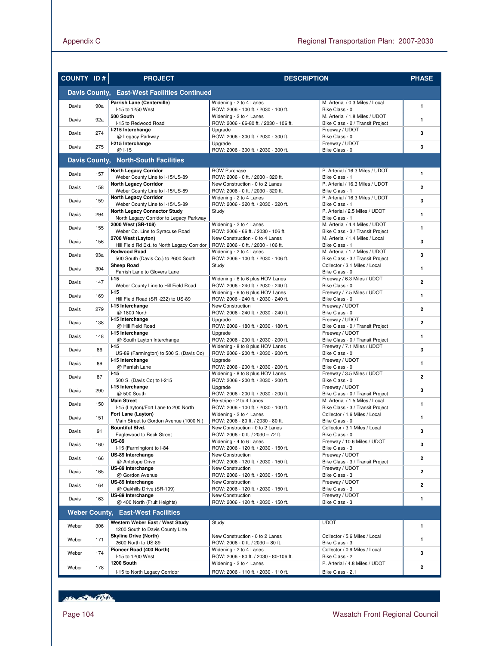| <b>COUNTY ID#</b> |     | <b>PROJECT</b>                                                                 | <b>DESCRIPTION</b>                                                       |                                                                     | <b>PHASE</b>            |
|-------------------|-----|--------------------------------------------------------------------------------|--------------------------------------------------------------------------|---------------------------------------------------------------------|-------------------------|
|                   |     | Davis County, East-West Facilities Continued                                   |                                                                          |                                                                     |                         |
| Davis             | 90a | Parrish Lane (Centerville)<br>I-15 to 1250 West                                | Widening - 2 to 4 Lanes<br>ROW: 2006 - 100 ft. / 2030 - 100 ft.          | M. Arterial / 0.3 Miles / Local<br>Bike Class - 0                   | $\mathbf{1}$            |
| Davis             | 92a | 500 South<br>I-15 to Redwood Road                                              | Widening - 2 to 4 Lanes<br>ROW: 2006 - 66-80 ft. / 2030 - 106 ft.        | M. Arterial / 1.8 Miles / UDOT<br>Bike Class - 2 / Transit Project  | $\mathbf{1}$            |
| Davis             | 274 | I-215 Interchange<br>@ Legacy Parkway                                          | Upgrade<br>ROW: 2006 - 300 ft. / 2030 - 300 ft.                          | Freeway / UDOT<br>Bike Class - 0                                    | 3                       |
| Davis             | 275 | I-215 Interchange<br>@ I-15                                                    | Upgrade<br>ROW: 2006 - 300 ft. / 2030 - 300 ft.                          | Freeway / UDOT<br>Bike Class - 0                                    | 3                       |
|                   |     | Davis County, North-South Facilities                                           |                                                                          |                                                                     |                         |
| Davis             | 157 | <b>North Legacy Corridor</b><br>Weber County Line to I-15/US-89                | <b>ROW Purchase</b><br>ROW: 2006 - 0 ft. / 2030 - 320 ft.                | P. Arterial / 16.3 Miles / UDOT<br>Bike Class - 1                   | $\mathbf{1}$            |
| Davis             | 158 | <b>North Legacy Corridor</b><br>Weber County Line to I-15/US-89                | New Construction - 0 to 2 Lanes<br>ROW: 2006 - 0 ft. / 2030 - 320 ft.    | P. Arterial / 16.3 Miles / UDOT<br>Bike Class - 1                   | $\overline{2}$          |
| Davis             | 159 | <b>North Legacy Corridor</b><br>Weber County Line to I-15/US-89                | Widening - 2 to 4 Lanes<br>ROW: 2006 - 320 ft. / 2030 - 320 ft.          | P. Arterial / 16.3 Miles / UDOT<br>Bike Class - 1                   | 3                       |
| Davis             | 294 | <b>North Legacy Connector Study</b><br>North Legacy Corridor to Legacy Parkway | Study                                                                    | P. Arterial / 2.5 Miles / UDOT<br>Bike Class - 1                    | $\mathbf{1}$            |
| Davis             | 155 | 2000 West (SR-108)                                                             | Widening - 2 to 4 Lanes                                                  | M. Arterial / 4.4 Miles / UDOT                                      | $\mathbf{1}$            |
| Davis             | 156 | Weber Co. Line to Syracuse Road<br>2700 West (Layton)                          | ROW: 2006 - 66 ft. / 2030 - 106 ft.<br>New Construction - 0 to 4 Lanes   | Bike Class - 3 / Transit Project<br>M. Arterial / 1.4 Miles / Local | 3                       |
| Davis             | 93a | Hill Field Rd Ext. to North Legacy Corridor<br><b>Redwood Road</b>             | ROW: 2006 - 0 ft. / 2030 - 106 ft.<br>Widening - 2 to 4 Lanes            | Bike Class - 1<br>M. Arterial / 1.7 Miles / UDOT                    | 3                       |
| Davis             | 304 | 500 South (Davis Co.) to 2600 South<br><b>Sheep Road</b>                       | ROW: 2006 - 100 ft. / 2030 - 106 ft.<br>Study                            | Bike Class - 3 / Transit Project<br>Collector / 3.1 Miles / Local   | $\mathbf{1}$            |
| Davis             | 147 | Parrish Lane to Glovers Lane<br>$I-15$                                         | Widening - 6 to 6 plus HOV Lanes                                         | Bike Class - 0<br>Freeway / 6.3 Miles / UDOT                        | $\overline{2}$          |
|                   |     | Weber County Line to Hill Field Road<br>$1 - 15$                               | ROW: 2006 - 240 ft. / 2030 - 240 ft.<br>Widening - 6 to 6 plus HOV Lanes | Bike Class - 0<br>Freeway / 7.5 Miles / UDOT                        | $\mathbf{1}$            |
| Davis             | 169 | Hill Field Road (SR -232) to US-89<br>I-15 Interchange                         | ROW: 2006 - 240 ft. / 2030 - 240 ft.<br>New Construction                 | Bike Class - 0<br>Freeway / UDOT                                    |                         |
| Davis             | 279 | @ 1800 North<br>I-15 Interchange                                               | ROW: 2006 - 240 ft. / 2030 - 240 ft.<br>Upgrade                          | Bike Class - 0<br>Freeway / UDOT                                    | $\overline{2}$          |
| Davis             | 138 | @ Hill Field Road<br>I-15 Interchange                                          | ROW: 2006 - 180 ft. / 2030 - 180 ft.<br>Upgrade                          | Bike Class - 0 / Transit Project<br>Freeway / UDOT                  | $\overline{2}$          |
| Davis             | 148 | @ South Layton Interchange<br>$I-15$                                           | ROW: 2006 - 200 ft. / 2030 - 200 ft.<br>Widening - 8 to 8 plus HOV Lanes | Bike Class - 0 / Transit Project<br>Freeway / 7.1 Miles / UDOT      | $\mathbf{1}$            |
| Davis             | 86  | US-89 (Farmington) to 500 S. (Davis Co)<br>I-15 Interchange                    | ROW: 2006 - 200 ft. / 2030 - 200 ft.                                     | Bike Class - 0<br>Freeway / UDOT                                    | 3                       |
| Davis             | 89  | @ Parrish Lane                                                                 | Upgrade<br>ROW: 2006 - 200 ft. / 2030 - 200 ft.                          | Bike Class - 0                                                      | $\mathbf{1}$            |
| Davis             | 87  | $I-15$<br>500 S. (Davis Co) to I-215                                           | Widening - 8 to 8 plus HOV Lanes<br>ROW: 2006 - 200 ft. / 2030 - 200 ft. | Freeway / 3.5 Miles / UDOT<br>Bike Class - 0                        | $\overline{2}$          |
| Davis             | 290 | I-15 Interchange<br>@ 500 South                                                | Upgrade<br>ROW: 2006 - 200 ft. / 2030 - 200 ft.                          | Freeway / UDOT<br>Bike Class - 0 / Transit Project                  | 3                       |
| Davis             | 150 | <b>Main Street</b><br>I-15 (Layton)/Fort Lane to 200 North                     | Re-stripe - 2 to 4 Lanes<br>ROW: 2006 - 100 ft. / 2030 - 100 ft.         | M. Arterial / 1.5 Miles / Local<br>Bike Class - 3 / Transit Project | $\mathbf{1}$            |
| Davis             | 151 | Fort Lane (Layton)<br>Main Street to Gordon Avenue (1000 N.)                   | Widening - 2 to 4 Lanes<br>ROW: 2006 - 80 ft. / 2030 - 80 ft.            | Collector / 1.6 Miles / Local<br>Bike Class - 0                     | $\mathbf{1}$            |
| Davis             | 91  | <b>Bountiful Blvd.</b><br>Eaglewood to Beck Street                             | New Construction - 0 to 2 Lanes<br>ROW: 2006 - 0 ft. / 2030 - 72 ft.     | Collector / 3.1 Miles / Local<br>Bike Class - 0                     | 3                       |
| Davis             | 160 | <b>US-89</b><br>I-15 (Farmington) to I-84                                      | Widening - 4 to 6 Lanes<br>ROW: 2006 - 120 ft. / 2030 - 150 ft.          | Freeway / 10.6 Miles / UDOT<br>Bike Class - 3                       | 3                       |
| Davis             | 166 | US-89 Interchange<br>@ Antelope Drive                                          | New Construction<br>ROW: 2006 - 120 ft. / 2030 - 150 ft.                 | Freeway / UDOT<br>Bike Class - 3 / Transit Project                  | $\overline{\mathbf{2}}$ |
| Davis             | 165 | US-89 Interchange<br>@ Gordon Avenue                                           | New Construction<br>ROW: 2006 - 120 ft. / 2030 - 150 ft.                 | Freeway / UDOT<br>Bike Class - 3                                    | $\overline{2}$          |
| Davis             | 164 | US-89 Interchange<br>@ Oakhills Drive (SR-109)                                 | New Construction<br>ROW: 2006 - 120 ft. / 2030 - 150 ft.                 | Freeway / UDOT<br>Bike Class - 3                                    | $\overline{2}$          |
| Davis             | 163 | US-89 Interchange                                                              | New Construction                                                         | Freeway / UDOT                                                      | $\mathbf{1}$            |
|                   |     | @ 400 North (Fruit Heights)<br><b>Weber County, East-West Facilities</b>       | ROW: 2006 - 120 ft. / 2030 - 150 ft.                                     | Bike Class - 3                                                      |                         |
| Weber             | 306 | Western Weber East / West Study                                                | Study                                                                    | <b>UDOT</b>                                                         | 1                       |
| Weber             | 171 | 1200 South to Davis County Line<br><b>Skyline Drive (North)</b>                | New Construction - 0 to 2 Lanes                                          | Collector / 5.6 Miles / Local                                       | $\mathbf{1}$            |
| Weber             | 174 | 2600 North to US-89<br>Pioneer Road (400 North)                                | ROW: 2006 - 0 ft. / 2030 - 80 ft.<br>Widening - 2 to 4 Lanes             | Bike Class - 3<br>Collector / 0.9 Miles / Local                     | 3                       |
|                   |     | I-15 to 1200 West<br>1200 South                                                | ROW: 2006 - 80 ft. / 2030 - 80-106 ft.<br>Widening - 2 to 4 Lanes        | Bike Class - 2<br>P. Arterial / 4.8 Miles / UDOT                    |                         |
| Weber             | 178 | I-15 to North Legacy Corridor                                                  | ROW: 2006 - 110 ft. / 2030 - 110 ft.                                     | Bike Class - 2,1                                                    | $\overline{\mathbf{2}}$ |

Her British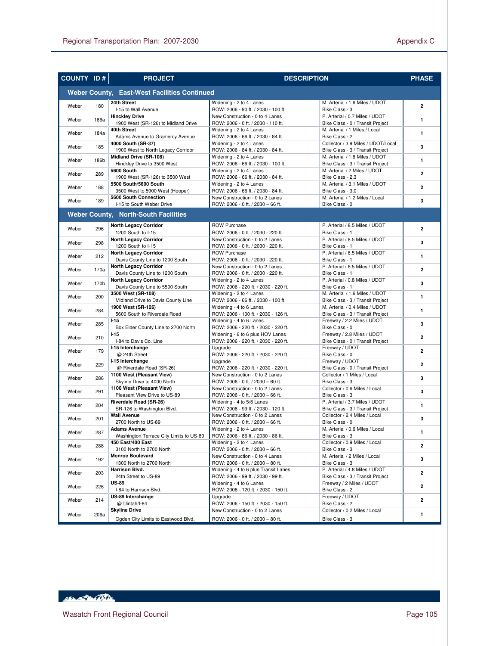| <b>COUNTY ID#</b>                                   |      | <b>PROJECT</b><br><b>DESCRIPTION</b>                                                               |                                                                                                       | <b>PHASE</b>                                                           |                         |  |  |
|-----------------------------------------------------|------|----------------------------------------------------------------------------------------------------|-------------------------------------------------------------------------------------------------------|------------------------------------------------------------------------|-------------------------|--|--|
| <b>Weber County, East-West Facilities Continued</b> |      |                                                                                                    |                                                                                                       |                                                                        |                         |  |  |
| Weber                                               | 180  | 24th Street<br>I-15 to Wall Avenue                                                                 | Widening - 2 to 4 Lanes<br>ROW: 2006 - 90 ft. / 2030 - 100 ft.                                        | M. Arterial / 1.6 Miles / UDOT<br>Bike Class - 3                       | $\mathbf{2}$            |  |  |
| Weber                                               | 186a | <b>Hinckley Drive</b><br>1900 West (SR-126) to Midland Drive                                       | New Construction - 0 to 4 Lanes<br>ROW: 2006 - 0 ft. / 2030 - 110 ft.                                 | P. Arterial / 0.7 Miles / UDOT<br>Bike Class - 0 / Transit Project     | $\mathbf{1}$            |  |  |
| Weber                                               | 184a | 40th Street<br>Adams Avenue to Gramercy Avenue                                                     | Widening - 2 to 4 Lanes<br>ROW: 2006 - 66 ft. / 2030 - 84 ft.                                         | M. Arterial / 1 Miles / Local<br>Bike Class - 2                        | $\mathbf{1}$            |  |  |
| Weber                                               | 185  | 4000 South (SR-37)<br>1900 West to North Legacy Corridor                                           | Widening - 2 to 4 Lanes<br>ROW: 2006 - 84 ft. / 2030 - 84 ft.                                         | Collector / 3.9 Miles / UDOT/Local<br>Bike Class - 3 / Transit Project | 3                       |  |  |
| Weber                                               | 186b | Midland Drive (SR-108)<br>Hinckley Drive to 3500 West                                              | Widening - 2 to 4 Lanes<br>ROW: 2006 - 66 ft. / 2030 - 100 ft.                                        | M. Arterial / 1.8 Miles / UDOT<br>Bike Class - 3 / Transit Project     | $\mathbf{1}$            |  |  |
| Weber                                               | 289  | 5600 South<br>1900 West (SR-126) to 3500 West                                                      | Widening - 2 to 4 Lanes<br>ROW: 2006 - 66 ft. / 2030 - 84 ft.                                         | M. Arterial / 2 Miles / UDOT<br>Bike Class - 2,3                       | $\mathbf{2}$            |  |  |
| Weber                                               | 188  | 5500 South/5600 South<br>3500 West to 5900 West (Hooper)                                           | Widening - 2 to 4 Lanes<br>ROW: 2006 - 66 ft. / 2030 - 84 ft.                                         | M. Arterial / 3.1 Miles / UDOT<br>Bike Class - 3.0                     | $\overline{a}$          |  |  |
| Weber                                               | 189  | 5600 South Connection<br>I-15 to South Weber Drive                                                 | New Construction - 0 to 2 Lanes<br>ROW: 2006 - 0 ft. / 2030 - 66 ft.                                  | M. Arterial / 1.2 Miles / Local<br>Bike Class - 0                      | 3                       |  |  |
|                                                     |      | <b>Weber County, North-South Facilities</b>                                                        |                                                                                                       |                                                                        |                         |  |  |
| Weber                                               | 296  | <b>North Legacy Corridor</b>                                                                       | <b>ROW Purchase</b>                                                                                   | P. Arterial / 8.5 Miles / UDOT                                         | $\overline{2}$          |  |  |
| Weber                                               | 298  | 1200 South to I-15<br><b>North Legacy Corridor</b>                                                 | ROW: 2006 - 0 ft. / 2030 - 220 ft.<br>New Construction - 0 to 2 Lanes                                 | Bike Class - 1<br>P. Arterial / 8.5 Miles / UDOT                       | 3                       |  |  |
| Weber                                               | 212  | 1200 South to I-15<br><b>North Legacy Corridor</b>                                                 | ROW: 2006 - 0 ft. / 2030 - 220 ft.<br><b>ROW Purchase</b>                                             | Bike Class - 1<br>P. Arterial / 6.5 Miles / UDOT                       | $\mathbf{1}$            |  |  |
| Weber                                               | 170a | Davis County Line to 1200 South<br><b>North Legacy Corridor</b>                                    | ROW: 2006 - 0 ft. / 2030 - 220 ft.<br>New Construction - 0 to 2 Lanes                                 | Bike Class - 1<br>P. Arterial / 6.5 Miles / UDOT<br>Bike Class - 1     | $\overline{2}$          |  |  |
| Weber                                               | 170b | Davis County Line to 1200 South<br><b>North Legacy Corridor</b><br>Davis County Line to 5500 South | ROW: 2006 - 0 ft. / 2030 - 220 ft.<br>Widening - 2 to 4 Lanes<br>ROW: 2006 - 220 ft. / 2030 - 220 ft. | P. Arterial / 0.8 Miles / UDOT<br>Bike Class - 1                       | 3                       |  |  |
| Weber                                               | 200  | 3500 West (SR-108)<br>Midland Drive to Davis County Line                                           | Widening - 2 to 4 Lanes<br>ROW: 2006 - 66 ft. / 2030 - 100 ft.                                        | M. Arterial / 1.6 Miles / UDOT<br>Bike Class - 3 / Transit Project     | $\mathbf{1}$            |  |  |
| Weber                                               | 284  | 1900 West (SR-126)<br>5600 South to Riverdale Road                                                 | Widening - 4 to 6 Lanes<br>ROW: 2006 - 100 ft. / 2030 - 126 ft.                                       | M. Arterial / 0.4 Miles / UDOT<br>Bike Class - 3 / Transit Project     | $\mathbf{1}$            |  |  |
| Weber                                               | 285  | $1 - 15$<br>Box Elder County Line to 2700 North                                                    | Widening - 4 to 6 Lanes<br>ROW: 2006 - 220 ft. / 2030 - 220 ft.                                       | Freeway / 2.2 Miles / UDOT<br>Bike Class - 0                           | 3                       |  |  |
| Weber                                               | 210  | $1-15$<br>I-84 to Davis Co. Line                                                                   | Widening - 6 to 6 plus HOV Lanes<br>ROW: 2006 - 220 ft. / 2030 - 220 ft.                              | Freeway / 2.8 Miles / UDOT<br>Bike Class - 0 / Transit Project         | $\overline{2}$          |  |  |
| Weber                                               | 179  | I-15 Interchange<br>@ 24th Street                                                                  | Upgrade<br>ROW: 2006 - 220 ft. / 2030 - 220 ft.                                                       | Freeway / UDOT<br>Bike Class - 0                                       | $\overline{2}$          |  |  |
| Weber                                               | 229  | I-15 Interchange<br>@ Riverdale Road (SR-26)                                                       | Upgrade<br>ROW: 2006 - 220 ft. / 2030 - 220 ft.                                                       | Freeway / UDOT<br>Bike Class - 0 / Transit Project                     | $\overline{2}$          |  |  |
| Weber                                               | 286  | 1100 West (Pleasant View)<br>Skyline Drive to 4000 North                                           | New Construction - 0 to 2 Lanes<br>ROW: 2006 - 0 ft. / 2030 - 60 ft.                                  | Collector / 1 Miles / Local<br>Bike Class - 3                          | 3                       |  |  |
| Weber                                               | 291  | 1100 West (Pleasant View)<br>Pleasant View Drive to US-89                                          | New Construction - 0 to 2 Lanes<br>ROW: 2006 - 0 ft. / 2030 - 66 ft.                                  | Collector / 0.6 Miles / Local<br>Bike Class - 3                        | 3                       |  |  |
| Weber                                               | 204  | Riverdale Road (SR-26)<br>SR-126 to Washington Blvd.                                               | Widening - 4 to 5/6 Lanes<br>ROW: 2006 - 99 ft. / 2030 - 120 ft.                                      | P. Arterial / 3.7 Miles / UDOT<br>Bike Class - 3 / Transit Project     | $\mathbf{1}$            |  |  |
| Weber                                               | 201  | <b>Wall Avenue</b><br>2700 North to US-89                                                          | New Construction - 0 to 2 Lanes<br>ROW: 2006 - 0 ft. / 2030 - 66 ft.                                  | Collector / 2.4 Miles / Local<br>Bike Class - 0                        | 3                       |  |  |
| Weber                                               | 287  | <b>Adams Avenue</b><br>Washington Terrace City Limits to US-89                                     | Widening - 2 to 4 Lanes<br>ROW: 2006 - 86 ft. / 2030 - 86 ft.                                         | M. Arterial / 0.6 Miles / Local<br>Bike Class - 3                      | 1                       |  |  |
| Weber                                               | 288  | 450 East/400 East<br>3100 North to 2700 North                                                      | Widening - 2 to 4 Lanes<br>ROW: 2006 - 0 ft. / 2030 - 66 ft.                                          | Collector / 0.9 Miles / Local<br>Bike Class - 3                        | 2                       |  |  |
| Weber                                               | 192  | <b>Monroe Boulevard</b><br>1300 North to 2700 North                                                | New Construction - 0 to 4 Lanes<br>ROW: 2006 - 0 ft. / 2030 - 80 ft.                                  | M. Arterial / 2 Miles / Local<br>Bike Class - 3                        | 3                       |  |  |
| Weber                                               | 203  | Harrison Blvd.<br>24th Street to US-89                                                             | Widening - 4 to 6 plus Transit Lanes<br>ROW: 2006 - 99 ft. / 2030 - 99 ft.                            | P. Arterial / 4.8 Miles / UDOT<br>Bike Class - 3 / Transit Project     | 2                       |  |  |
| Weber                                               | 226  | US-89<br>I-84 to Harrison Blvd.                                                                    | Widening - 4 to 6 Lanes<br>ROW: 2006 - 120 ft. / 2030 - 150 ft.                                       | Freeway / 2 Miles / UDOT<br>Bike Class - 2                             | $\overline{\mathbf{2}}$ |  |  |
| Weber                                               | 214  | US-89 Interchange<br>@ Uintah/I-84                                                                 | Upgrade<br>ROW: 2006 - 150 ft. / 2030 - 150 ft.                                                       | Freeway / UDOT<br>Bike Class - 2                                       | 2                       |  |  |
| Weber                                               | 206a | <b>Skyline Drive</b><br>Ogden City Limits to Eastwood Blvd.                                        | New Construction - 0 to 2 Lanes<br>ROW: 2006 - 0 ft. / 2030 - 80 ft.                                  | Collector / 0.2 Miles / Local<br>Bike Class - 3                        | 1                       |  |  |

Henry College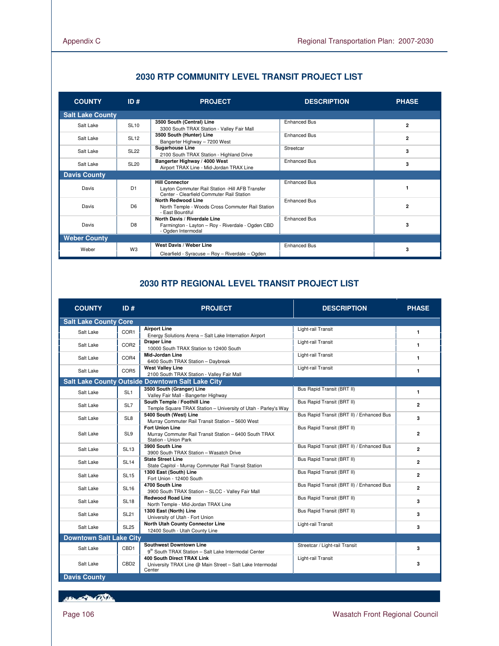| <b>COUNTY</b>           | ID#              | <b>PROJECT</b>                                                                                                         | <b>DESCRIPTION</b>  | <b>PHASE</b>   |
|-------------------------|------------------|------------------------------------------------------------------------------------------------------------------------|---------------------|----------------|
| <b>Salt Lake County</b> |                  |                                                                                                                        |                     |                |
| Salt Lake               | <b>SL10</b>      | 3500 South (Central) Line<br>3300 South TRAX Station - Valley Fair Mall                                                | <b>Enhanced Bus</b> | $\overline{2}$ |
| Salt Lake               | <b>SL12</b>      | 3500 South (Hunter) Line<br>Bangerter Highway - 7200 West                                                              | <b>Enhanced Bus</b> | $\overline{2}$ |
| Salt Lake               | <b>SL22</b>      | <b>Sugarhouse Line</b><br>2100 South TRAX Station - Highland Drive                                                     | Streetcar           | 3              |
| Salt Lake               | SL <sub>20</sub> | Bangerter Highway / 4000 West<br>Airport TRAX Line - Mid-Jordan TRAX Line                                              | <b>Enhanced Bus</b> | 3              |
| <b>Davis County</b>     |                  |                                                                                                                        |                     |                |
| Davis                   | D <sub>1</sub>   | <b>Hill Connector</b><br>Layton Commuter Rail Station - Hill AFB Transfer<br>Center - Clearfield Commuter Rail Station | <b>Enhanced Bus</b> |                |
| Davis                   | D <sub>6</sub>   | <b>North Redwood Line</b><br>North Temple - Woods Cross Commuter Rail Station<br>- East Bountiful                      | <b>Enhanced Bus</b> | $\overline{2}$ |
| Davis                   | D <sub>8</sub>   | North Davis / Riverdale Line<br>Farmington - Layton - Roy - Riverdale - Ogden CBD<br>- Ogden Intermodal                | <b>Enhanced Bus</b> | 3              |
| <b>Weber County</b>     |                  |                                                                                                                        |                     |                |
| Weber                   | W <sub>3</sub>   | West Davis / Weber Line<br>Clearfield - Syracuse - Roy - Riverdale - Ogden                                             | <b>Enhanced Bus</b> | 3              |

# **2030 RTP COMMUNITY LEVEL TRANSIT PROJECT LIST**

# **2030 RTP REGIONAL LEVEL TRANSIT PROJECT LIST**

| <b>COUNTY</b>                  | ID#              | <b>PROJECT</b>                                                                                           | <b>DESCRIPTION</b>                        | <b>PHASE</b>   |
|--------------------------------|------------------|----------------------------------------------------------------------------------------------------------|-------------------------------------------|----------------|
| <b>Salt Lake County Core</b>   |                  |                                                                                                          |                                           |                |
| Salt Lake                      | COR1             | <b>Airport Line</b><br>Energy Solutions Arena - Salt Lake Internation Airport                            | Light-rail Transit                        | $\mathbf{1}$   |
| Salt Lake                      | COR <sub>2</sub> | <b>Draper Line</b><br>10000 South TRAX Station to 12400 South                                            | Light-rail Transit                        | $\mathbf{1}$   |
| Salt Lake                      | COR4             | Mid-Jordan Line<br>6400 South TRAX Station - Daybreak                                                    | Light-rail Transit                        | $\mathbf{1}$   |
| Salt Lake                      | COR5             | <b>West Valley Line</b><br>2100 South TRAX Station - Valley Fair Mall                                    | Light-rail Transit                        | $\blacksquare$ |
|                                |                  | <b>Salt Lake County Outside Downtown Salt Lake City</b>                                                  |                                           |                |
| Salt Lake                      | SL <sub>1</sub>  | 3500 South (Granger) Line<br>Valley Fair Mall - Bangerter Highway                                        | Bus Rapid Transit (BRT II)                | $\mathbf{1}$   |
| Salt Lake                      | SL7              | South Temple / Foothill Line<br>Temple Square TRAX Station - University of Utah - Parley's Way           | Bus Rapid Transit (BRT II)                | $\overline{2}$ |
| Salt Lake                      | SL <sub>8</sub>  | 5400 South (West) Line<br>Murray Commuter Rail Transit Station - 5600 West                               | Bus Rapid Transit (BRT II) / Enhanced Bus | 3              |
| Salt Lake                      | SL <sub>9</sub>  | <b>Fort Union Line</b><br>Murray Commuter Rail Transit Station - 6400 South TRAX<br>Station - Union Park | Bus Rapid Transit (BRT II)                | $\overline{2}$ |
| Salt Lake                      | <b>SL13</b>      | 3900 South Line<br>3900 South TRAX Station - Wasatch Drive                                               | Bus Rapid Transit (BRT II) / Enhanced Bus | $\overline{2}$ |
| Salt Lake                      | <b>SL14</b>      | <b>State Street Line</b><br>State Capitol - Murray Commuter Rail Transit Station                         | Bus Rapid Transit (BRT II)                | $\overline{2}$ |
| Salt Lake                      | <b>SL15</b>      | 1300 East (South) Line<br>Fort Union - 12400 South                                                       | Bus Rapid Transit (BRT II)                | $\overline{2}$ |
| Salt Lake                      | <b>SL16</b>      | 4700 South Line<br>3900 South TRAX Station - SLCC - Valley Fair Mall                                     | Bus Rapid Transit (BRT II) / Enhanced Bus | $\overline{2}$ |
| Salt Lake                      | <b>SL18</b>      | <b>Redwood Road Line</b><br>North Temple - Mid-Jordan TRAX Line                                          | Bus Rapid Transit (BRT II)                | 3              |
| Salt Lake                      | <b>SL21</b>      | 1300 East (North) Line<br>University of Utah - Fort Union                                                | Bus Rapid Transit (BRT II)                | 3              |
| Salt Lake                      | <b>SL25</b>      | North Utah County Connector Line<br>12400 South - Utah County Line                                       | Light-rail Transit                        | 3              |
| <b>Downtown Salt Lake City</b> |                  |                                                                                                          |                                           |                |
| Salt Lake                      | CBD1             | <b>Southwest Downtown Line</b><br>9th South TRAX Station - Salt Lake Intermodal Center                   | Streetcar / Light-rail Transit            | 3              |
| Salt Lake                      | CBD <sub>2</sub> | <b>400 South Direct TRAX Link</b><br>University TRAX Line @ Main Street - Salt Lake Intermodal<br>Center | Light-rail Transit                        | 3              |

HELL OF BEAT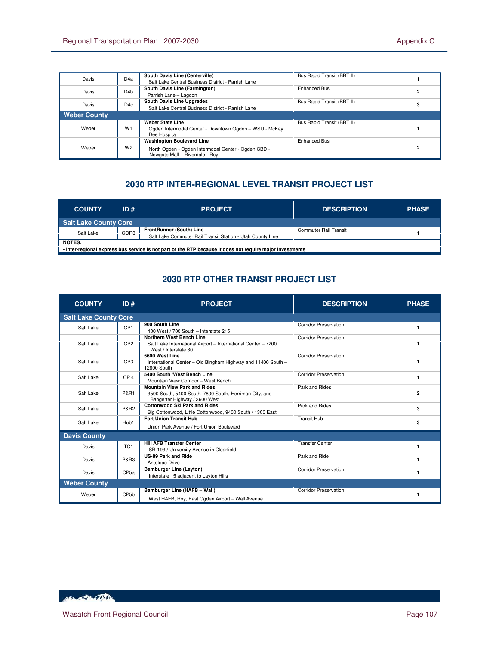|                     |                  | South Davis Line (Centerville)                                                        | Bus Rapid Transit (BRT II) |  |
|---------------------|------------------|---------------------------------------------------------------------------------------|----------------------------|--|
| Davis               | D <sub>4</sub> a |                                                                                       |                            |  |
|                     |                  | Salt Lake Central Business District - Parrish Lane                                    |                            |  |
| Davis               | D <sub>4</sub> b | South Davis Line (Farmington)                                                         | Enhanced Bus               |  |
|                     |                  | Parrish Lane - Lagoon                                                                 |                            |  |
| Davis               | D4c              | South Davis Line Upgrades                                                             | Bus Rapid Transit (BRT II) |  |
|                     |                  | Salt Lake Central Business District - Parrish Lane                                    |                            |  |
| <b>Weber County</b> |                  |                                                                                       |                            |  |
|                     | W <sub>1</sub>   | Weber State Line                                                                      | Bus Rapid Transit (BRT II) |  |
| Weber               |                  | Ogden Intermodal Center - Downtown Ogden - WSU - McKay<br>Dee Hospital                |                            |  |
| Weber               | W <sub>2</sub>   | <b>Washington Boulevard Line</b>                                                      | Enhanced Bus               |  |
|                     |                  | North Ogden - Ogden Intermodal Center - Ogden CBD -<br>Newgate Mall - Riverdale - Roy |                            |  |

# **2030 RTP INTER-REGIONAL LEVEL TRANSIT PROJECT LIST**

| <b>COUNTY</b>                                                                                                       | ID # | <b>PROJECT</b>                                                                                | <b>DESCRIPTION</b>    | <b>PHASE</b> |
|---------------------------------------------------------------------------------------------------------------------|------|-----------------------------------------------------------------------------------------------|-----------------------|--------------|
| Salt Lake County Core                                                                                               |      |                                                                                               |                       |              |
| Salt Lake                                                                                                           | COR3 | <b>FrontRunner (South) Line</b><br>Salt Lake Commuter Rail Transit Station - Utah County Line | Commuter Rail Transit |              |
| NOTES:<br>- Inter-regional express bus service is not part of the RTP because it does not require major investments |      |                                                                                               |                       |              |

# **2030 RTP OTHER TRANSIT PROJECT LIST**

| <b>COUNTY</b>       | ID#                          | <b>PROJECT</b>                                                                                                                 | <b>DESCRIPTION</b>           | <b>PHASE</b>   |  |  |
|---------------------|------------------------------|--------------------------------------------------------------------------------------------------------------------------------|------------------------------|----------------|--|--|
|                     | <b>Salt Lake County Core</b> |                                                                                                                                |                              |                |  |  |
| Salt Lake           | CP <sub>1</sub>              | 900 South Line<br>400 West / 700 South - Interstate 215                                                                        | <b>Corridor Preservation</b> | 1              |  |  |
| Salt Lake           | CP <sub>2</sub>              | <b>Northern West Bench Line</b><br>Salt Lake International Airport - International Center - 7200<br>West / Interstate 80       | <b>Corridor Preservation</b> | 1              |  |  |
| Salt Lake           | CP <sub>3</sub>              | 5600 West Line<br>International Center - Old Bingham Highway and 11400 South -<br>12600 South                                  | <b>Corridor Preservation</b> | 1              |  |  |
| Salt Lake           | CP <sub>4</sub>              | 5400 South /West Bench Line<br>Mountain View Corridor - West Bench                                                             | <b>Corridor Preservation</b> | 1              |  |  |
| Salt Lake           | <b>P&amp;R1</b>              | <b>Mountain View Park and Rides</b><br>3500 South, 5400 South, 7800 South, Herriman City, and<br>Bangerter Highway / 3600 West | Park and Rides               | $\overline{2}$ |  |  |
| Salt Lake           | <b>P&amp;R2</b>              | <b>Cottonwood Ski Park and Rides</b><br>Big Cottonwood, Little Cottonwood, 9400 South / 1300 East                              | Park and Rides               | 3              |  |  |
| Salt Lake           | Hub1                         | <b>Fort Union Transit Hub</b><br>Union Park Avenue / Fort Union Boulevard                                                      | <b>Transit Hub</b>           | 3              |  |  |
| <b>Davis County</b> |                              |                                                                                                                                |                              |                |  |  |
| Davis               | TC <sub>1</sub>              | <b>Hill AFB Transfer Center</b><br>SR-193 / University Avenue in Clearfield                                                    | <b>Transfer Center</b>       | 1              |  |  |
| Davis               | <b>P&amp;R3</b>              | <b>US-89 Park and Ride</b><br>Antelope Drive                                                                                   | Park and Ride                | 1              |  |  |
| Davis               | CP <sub>5a</sub>             | <b>Bamburger Line (Layton)</b><br>Interstate 15 adjacent to Layton Hills                                                       | <b>Corridor Preservation</b> | 1              |  |  |
| <b>Weber County</b> |                              |                                                                                                                                |                              |                |  |  |
| Weber               | CP <sub>5</sub> b            | Bamburger Line (HAFB - Wall)<br>West HAFB, Roy, East Ogden Airport - Wall Avenue                                               | <b>Corridor Preservation</b> | 1              |  |  |

HELL AND CONTROL